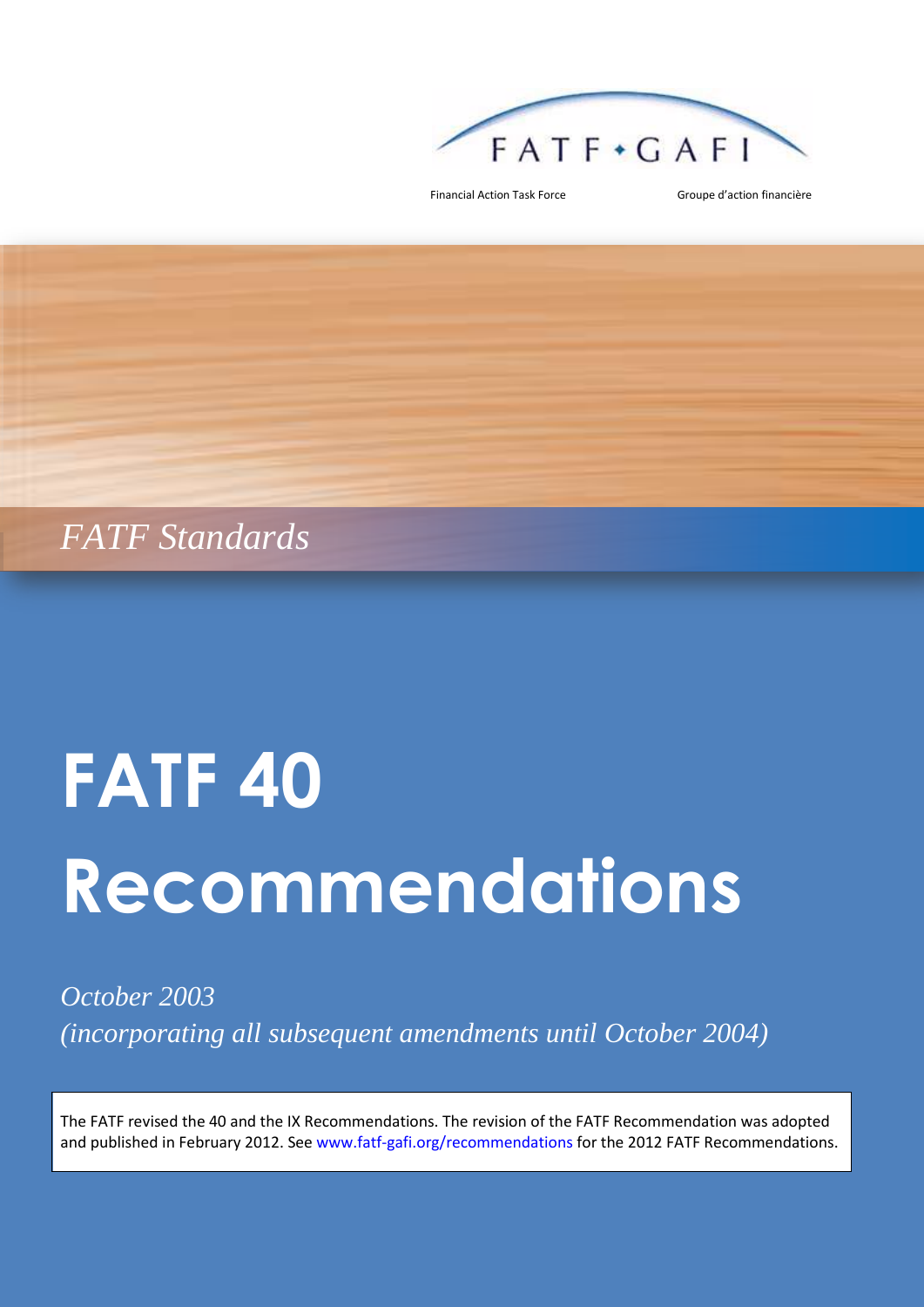

Financial Action Task Force Groupe d'action financière



# **FATF 40 Recommendations**

*October 2003 (incorporating all subsequent amendments until October 2004)*

The FATF revised the 40 and the IX Recommendations. The revision of the FATF Recommendation was adopted and published in February 2012. See www.fatf-gafi.org/recommendations for the 2012 FATF Recommendations.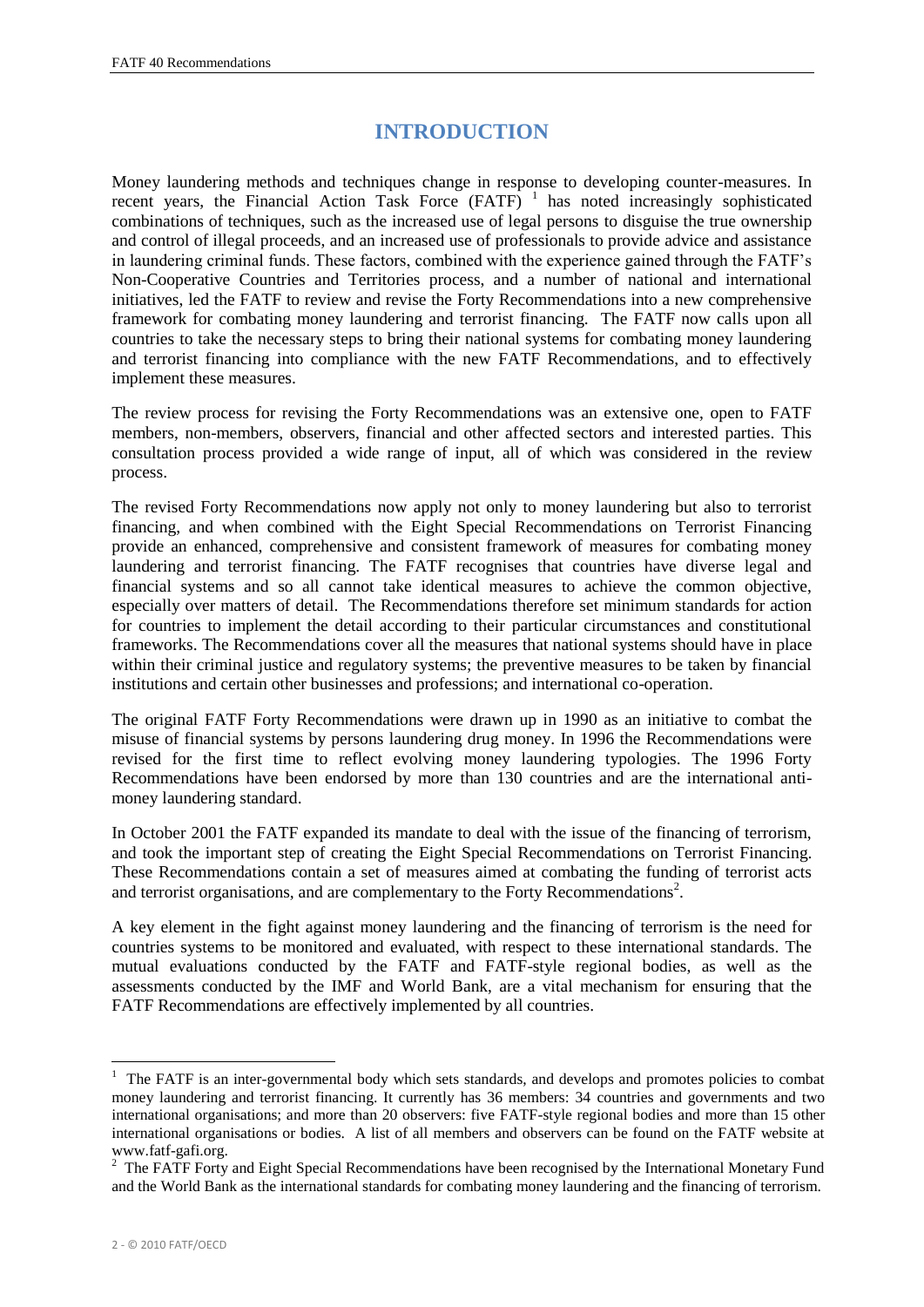# **INTRODUCTION**

Money laundering methods and techniques change in response to developing counter-measures. In recent years, the Financial Action Task Force  $(FATF)^{-1}$  has noted increasingly sophisticated combinations of techniques, such as the increased use of legal persons to disguise the true ownership and control of illegal proceeds, and an increased use of professionals to provide advice and assistance in laundering criminal funds. These factors, combined with the experience gained through the FATF's Non-Cooperative Countries and Territories process, and a number of national and international initiatives, led the FATF to review and revise the Forty Recommendations into a new comprehensive framework for combating money laundering and terrorist financing. The FATF now calls upon all countries to take the necessary steps to bring their national systems for combating money laundering and terrorist financing into compliance with the new FATF Recommendations, and to effectively implement these measures.

The review process for revising the Forty Recommendations was an extensive one, open to FATF members, non-members, observers, financial and other affected sectors and interested parties. This consultation process provided a wide range of input, all of which was considered in the review process.

The revised Forty Recommendations now apply not only to money laundering but also to terrorist financing, and when combined with the Eight Special Recommendations on Terrorist Financing provide an enhanced, comprehensive and consistent framework of measures for combating money laundering and terrorist financing. The FATF recognises that countries have diverse legal and financial systems and so all cannot take identical measures to achieve the common objective, especially over matters of detail. The Recommendations therefore set minimum standards for action for countries to implement the detail according to their particular circumstances and constitutional frameworks. The Recommendations cover all the measures that national systems should have in place within their criminal justice and regulatory systems; the preventive measures to be taken by financial institutions and certain other businesses and professions; and international co-operation.

The original FATF Forty Recommendations were drawn up in 1990 as an initiative to combat the misuse of financial systems by persons laundering drug money. In 1996 the Recommendations were revised for the first time to reflect evolving money laundering typologies. The 1996 Forty Recommendations have been endorsed by more than 130 countries and are the international antimoney laundering standard.

In October 2001 the FATF expanded its mandate to deal with the issue of the financing of terrorism, and took the important step of creating the Eight Special Recommendations on Terrorist Financing. These Recommendations contain a set of measures aimed at combating the funding of terrorist acts and terrorist organisations, and are complementary to the Forty Recommendations<sup>2</sup>.

A key element in the fight against money laundering and the financing of terrorism is the need for countries systems to be monitored and evaluated, with respect to these international standards. The mutual evaluations conducted by the FATF and FATF-style regional bodies, as well as the assessments conducted by the IMF and World Bank, are a vital mechanism for ensuring that the FATF Recommendations are effectively implemented by all countries.

**.** 

<sup>&</sup>lt;sup>1</sup> The FATF is an inter-governmental body which sets standards, and develops and promotes policies to combat money laundering and terrorist financing. It currently has 36 members: 34 countries and governments and two international organisations; and more than 20 observers: five FATF-style regional bodies and more than 15 other international organisations or bodies. A list of all members and observers can be found on the FATF website at www.fatf-gafi.org.

 $2$  The FATF Forty and Eight Special Recommendations have been recognised by the International Monetary Fund and the World Bank as the international standards for combating money laundering and the financing of terrorism.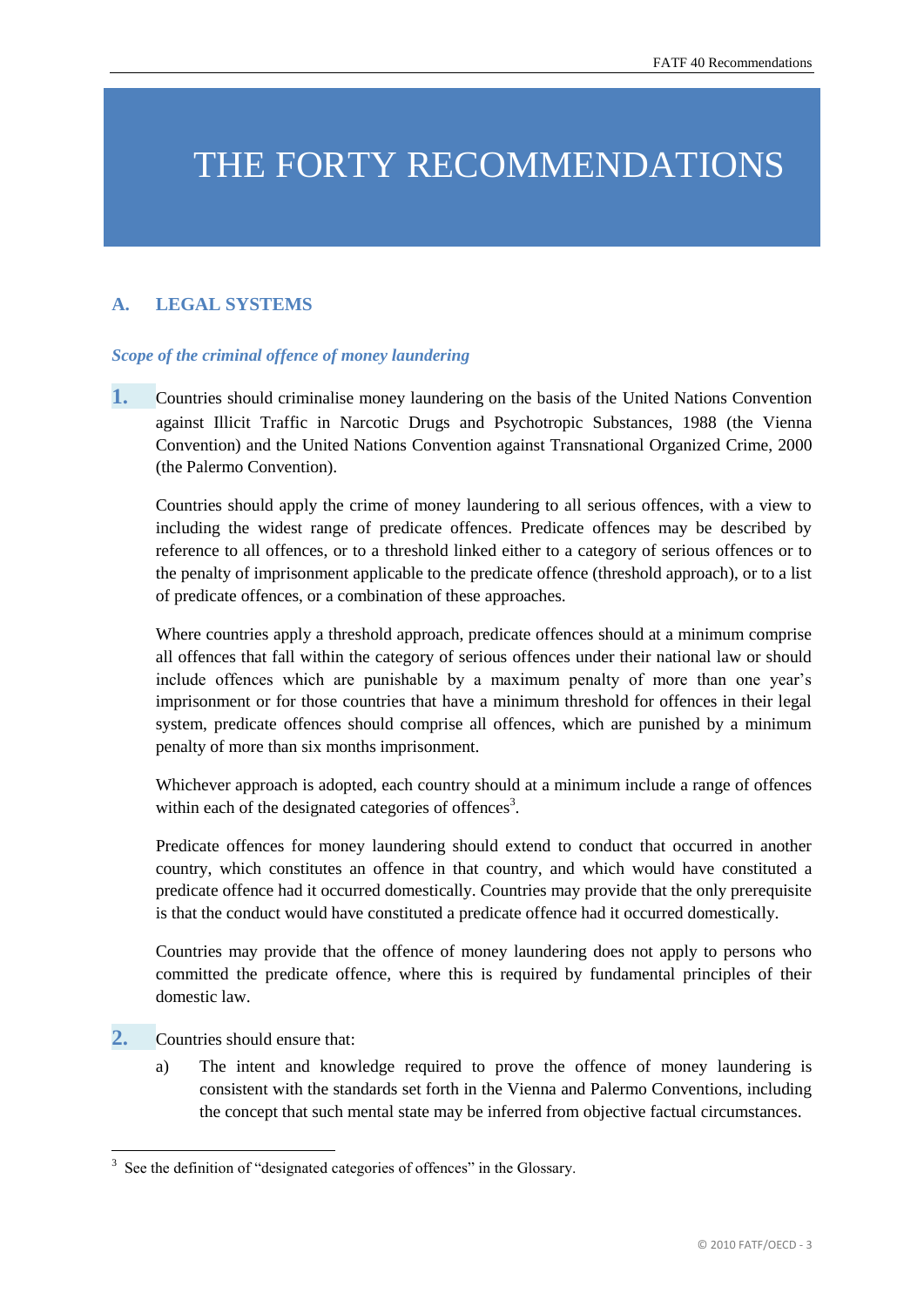# THE FORTY RECOMMENDATIONS

# **A. LEGAL SYSTEMS**

## *Scope of the criminal offence of money laundering*

**1.** Countries should criminalise money laundering on the basis of the United Nations Convention against Illicit Traffic in Narcotic Drugs and Psychotropic Substances, 1988 (the Vienna Convention) and the United Nations Convention against Transnational Organized Crime, 2000 (the Palermo Convention).

Countries should apply the crime of money laundering to all serious offences, with a view to including the widest range of predicate offences. Predicate offences may be described by reference to all offences, or to a threshold linked either to a category of serious offences or to the penalty of imprisonment applicable to the predicate offence (threshold approach), or to a list of predicate offences, or a combination of these approaches.

Where countries apply a threshold approach, predicate offences should at a minimum comprise all offences that fall within the category of serious offences under their national law or should include offences which are punishable by a maximum penalty of more than one year's imprisonment or for those countries that have a minimum threshold for offences in their legal system, predicate offences should comprise all offences, which are punished by a minimum penalty of more than six months imprisonment.

Whichever approach is adopted, each country should at a minimum include a range of offences within each of the designated categories of offences<sup>3</sup>.

Predicate offences for money laundering should extend to conduct that occurred in another country, which constitutes an offence in that country, and which would have constituted a predicate offence had it occurred domestically. Countries may provide that the only prerequisite is that the conduct would have constituted a predicate offence had it occurred domestically.

Countries may provide that the offence of money laundering does not apply to persons who committed the predicate offence, where this is required by fundamental principles of their domestic law.

# **2.** Countries should ensure that:

a) The intent and knowledge required to prove the offence of money laundering is consistent with the standards set forth in the Vienna and Palermo Conventions, including the concept that such mental state may be inferred from objective factual circumstances.

<sup>&</sup>lt;sup>3</sup> See the definition of "designated categories of offences" in the Glossary.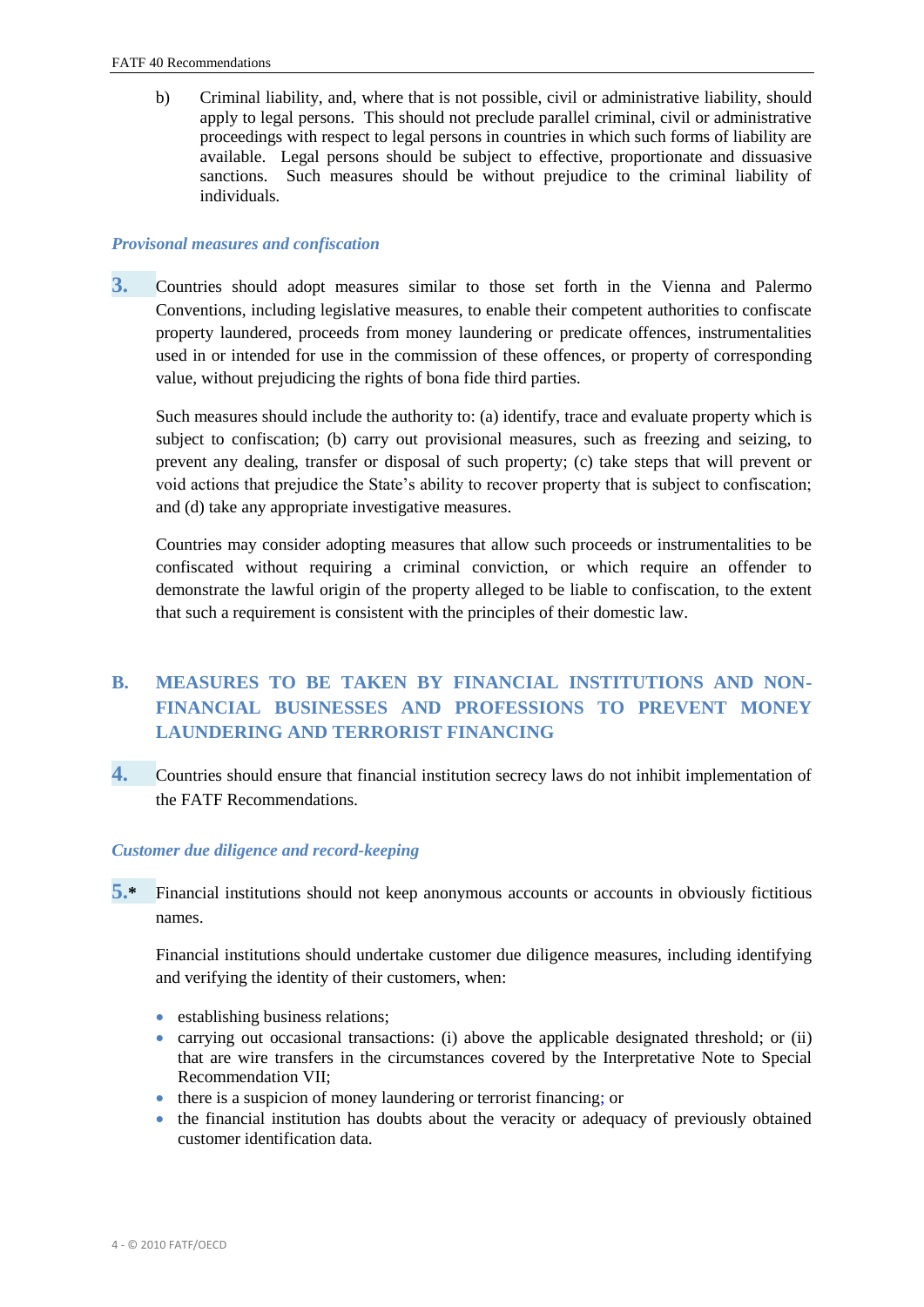b) Criminal liability, and, where that is not possible, civil or administrative liability, should apply to legal persons. This should not preclude parallel criminal, civil or administrative proceedings with respect to legal persons in countries in which such forms of liability are available. Legal persons should be subject to effective, proportionate and dissuasive sanctions. Such measures should be without prejudice to the criminal liability of individuals*.*

# *Provisonal measures and confiscation*

**3.** Countries should adopt measures similar to those set forth in the Vienna and Palermo Conventions, including legislative measures, to enable their competent authorities to confiscate property laundered, proceeds from money laundering or predicate offences, instrumentalities used in or intended for use in the commission of these offences, or property of corresponding value, without prejudicing the rights of bona fide third parties.

Such measures should include the authority to: (a) identify, trace and evaluate property which is subject to confiscation; (b) carry out provisional measures, such as freezing and seizing, to prevent any dealing, transfer or disposal of such property; (c) take steps that will prevent or void actions that prejudice the State's ability to recover property that is subject to confiscation; and (d) take any appropriate investigative measures.

Countries may consider adopting measures that allow such proceeds or instrumentalities to be confiscated without requiring a criminal conviction, or which require an offender to demonstrate the lawful origin of the property alleged to be liable to confiscation, to the extent that such a requirement is consistent with the principles of their domestic law.

# **B. MEASURES TO BE TAKEN BY FINANCIAL INSTITUTIONS AND NON-FINANCIAL BUSINESSES AND PROFESSIONS TO PREVENT MONEY LAUNDERING AND TERRORIST FINANCING**

**4.** Countries should ensure that financial institution secrecy laws do not inhibit implementation of the FATF Recommendations*.* 

# *Customer due diligence and record-keeping*

**5.\*** Financial institutions should not keep anonymous accounts or accounts in obviously fictitious names.

Financial institutions should undertake customer due diligence measures, including identifying and verifying the identity of their customers, when:

- establishing business relations;
- carrying out occasional transactions: (i) above the applicable designated threshold; or (ii) that are wire transfers in the circumstances covered by the Interpretative Note to Special Recommendation VII;
- there is a suspicion of money laundering or terrorist financing; or
- the financial institution has doubts about the veracity or adequacy of previously obtained customer identification data.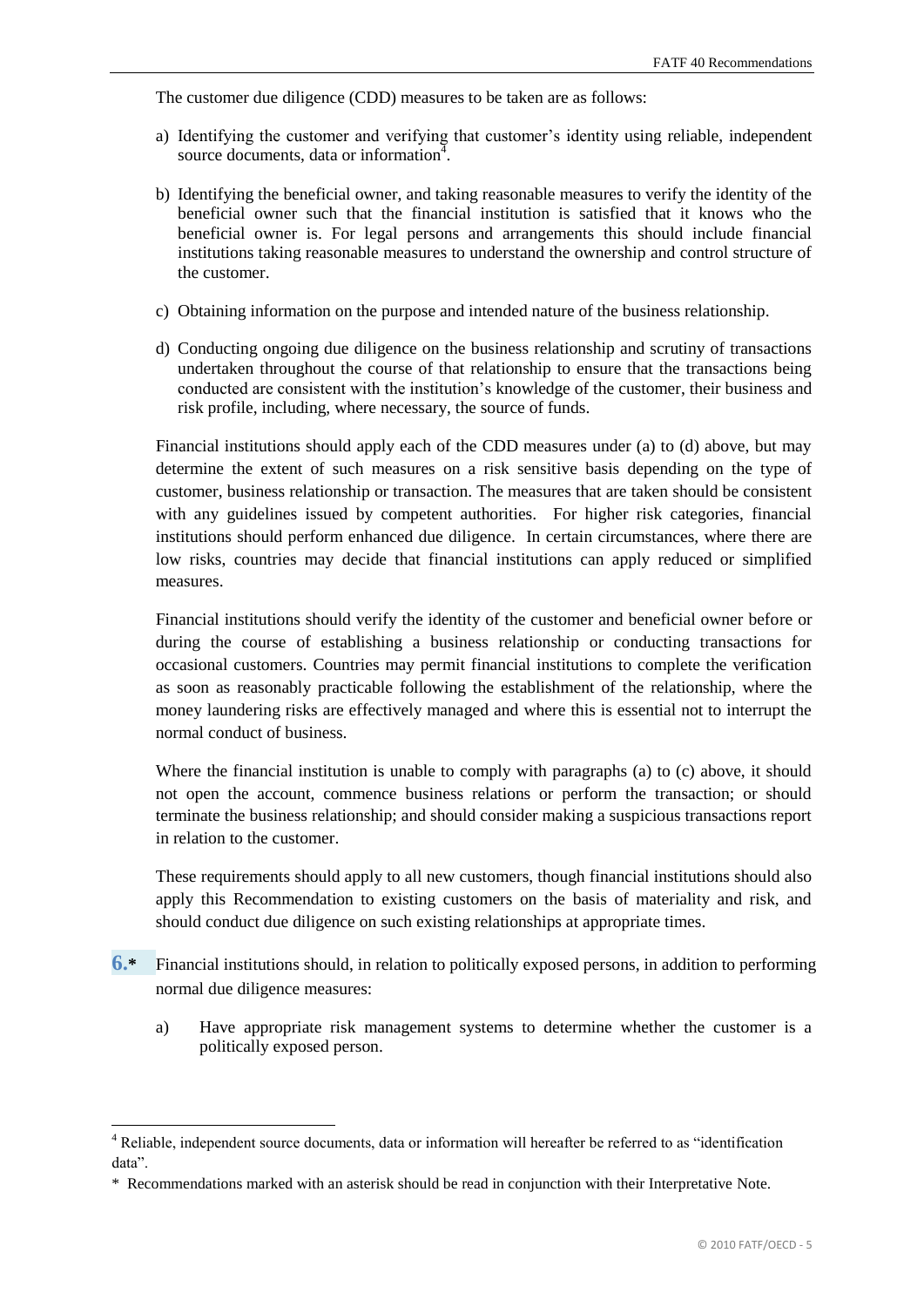The customer due diligence (CDD) measures to be taken are as follows:

- a) Identifying the customer and verifying that customer's identity using reliable, independent source documents, data or information $^4$ .
- b) Identifying the beneficial owner, and taking reasonable measures to verify the identity of the beneficial owner such that the financial institution is satisfied that it knows who the beneficial owner is. For legal persons and arrangements this should include financial institutions taking reasonable measures to understand the ownership and control structure of the customer.
- c) Obtaining information on the purpose and intended nature of the business relationship.
- d) Conducting ongoing due diligence on the business relationship and scrutiny of transactions undertaken throughout the course of that relationship to ensure that the transactions being conducted are consistent with the institution's knowledge of the customer, their business and risk profile, including, where necessary, the source of funds.

Financial institutions should apply each of the CDD measures under (a) to (d) above, but may determine the extent of such measures on a risk sensitive basis depending on the type of customer, business relationship or transaction. The measures that are taken should be consistent with any guidelines issued by competent authorities. For higher risk categories, financial institutions should perform enhanced due diligence. In certain circumstances, where there are low risks, countries may decide that financial institutions can apply reduced or simplified measures.

Financial institutions should verify the identity of the customer and beneficial owner before or during the course of establishing a business relationship or conducting transactions for occasional customers. Countries may permit financial institutions to complete the verification as soon as reasonably practicable following the establishment of the relationship, where the money laundering risks are effectively managed and where this is essential not to interrupt the normal conduct of business.

Where the financial institution is unable to comply with paragraphs (a) to (c) above, it should not open the account, commence business relations or perform the transaction; or should terminate the business relationship; and should consider making a suspicious transactions report in relation to the customer.

These requirements should apply to all new customers, though financial institutions should also apply this Recommendation to existing customers on the basis of materiality and risk, and should conduct due diligence on such existing relationships at appropriate times.

- **6.\*** Financial institutions should, in relation to politically exposed persons, in addition to performing normal due diligence measures:
	- a) Have appropriate risk management systems to determine whether the customer is a politically exposed person.

 $\overline{a}$ 

<sup>&</sup>lt;sup>4</sup> Reliable, independent source documents, data or information will hereafter be referred to as "identification data".

<sup>\*</sup> Recommendations marked with an asterisk should be read in conjunction with their Interpretative Note.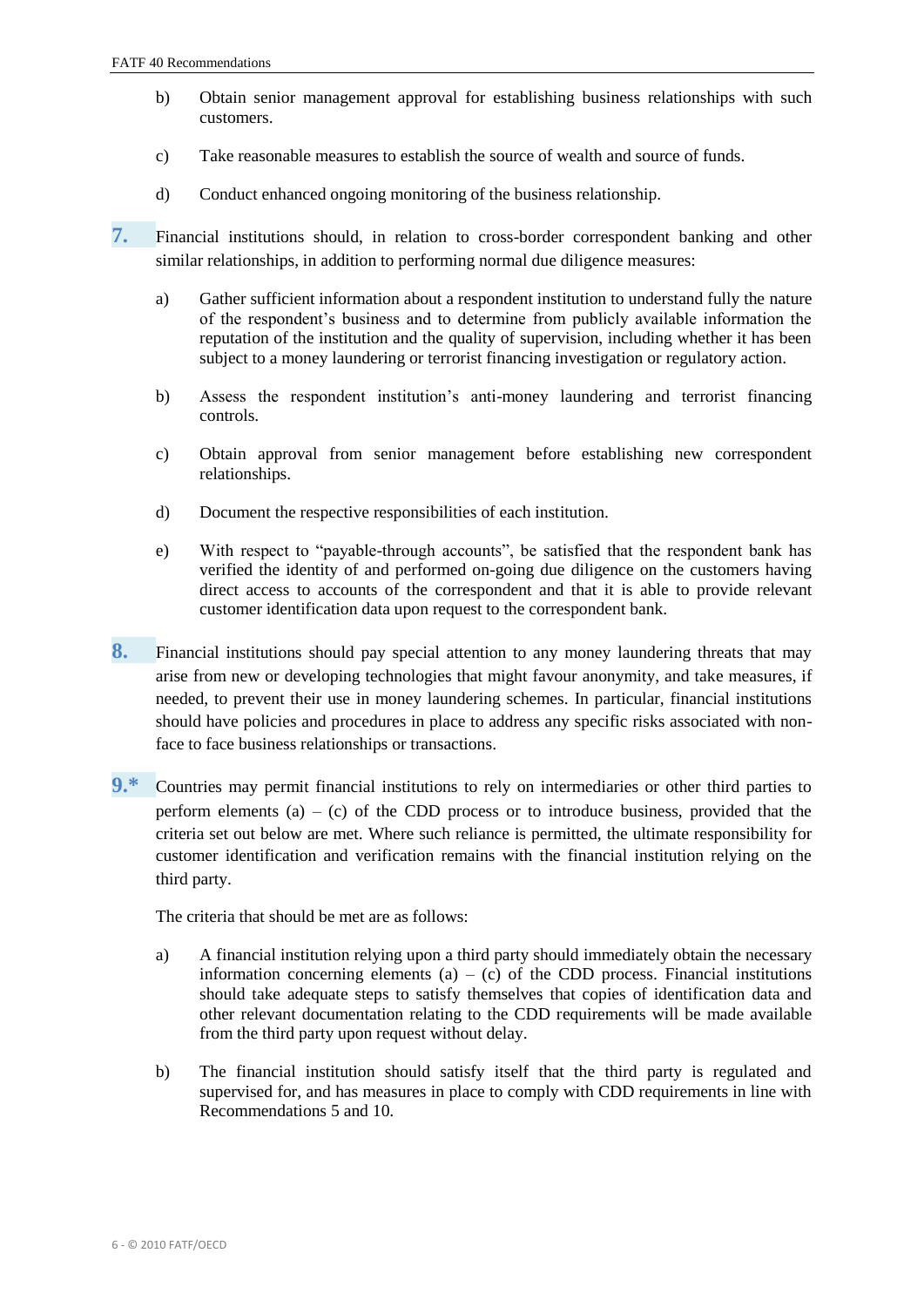- b) Obtain senior management approval for establishing business relationships with such customers.
- c) Take reasonable measures to establish the source of wealth and source of funds.
- d) Conduct enhanced ongoing monitoring of the business relationship.
- **7.** Financial institutions should, in relation to cross-border correspondent banking and other similar relationships, in addition to performing normal due diligence measures:
	- a) Gather sufficient information about a respondent institution to understand fully the nature of the respondent's business and to determine from publicly available information the reputation of the institution and the quality of supervision, including whether it has been subject to a money laundering or terrorist financing investigation or regulatory action.
	- b) Assess the respondent institution's anti-money laundering and terrorist financing controls.
	- c) Obtain approval from senior management before establishing new correspondent relationships.
	- d) Document the respective responsibilities of each institution.
	- e) With respect to "payable-through accounts", be satisfied that the respondent bank has verified the identity of and performed on-going due diligence on the customers having direct access to accounts of the correspondent and that it is able to provide relevant customer identification data upon request to the correspondent bank.
- **8.** Financial institutions should pay special attention to any money laundering threats that may arise from new or developing technologies that might favour anonymity, and take measures, if needed, to prevent their use in money laundering schemes. In particular, financial institutions should have policies and procedures in place to address any specific risks associated with nonface to face business relationships or transactions.
- 9.\* Countries may permit financial institutions to rely on intermediaries or other third parties to perform elements (a) – (c) of the CDD process or to introduce business, provided that the criteria set out below are met. Where such reliance is permitted, the ultimate responsibility for customer identification and verification remains with the financial institution relying on the third party.

The criteria that should be met are as follows:

- a) A financial institution relying upon a third party should immediately obtain the necessary information concerning elements (a) – (c) of the CDD process. Financial institutions should take adequate steps to satisfy themselves that copies of identification data and other relevant documentation relating to the CDD requirements will be made available from the third party upon request without delay.
- b) The financial institution should satisfy itself that the third party is regulated and supervised for, and has measures in place to comply with CDD requirements in line with Recommendations 5 and 10.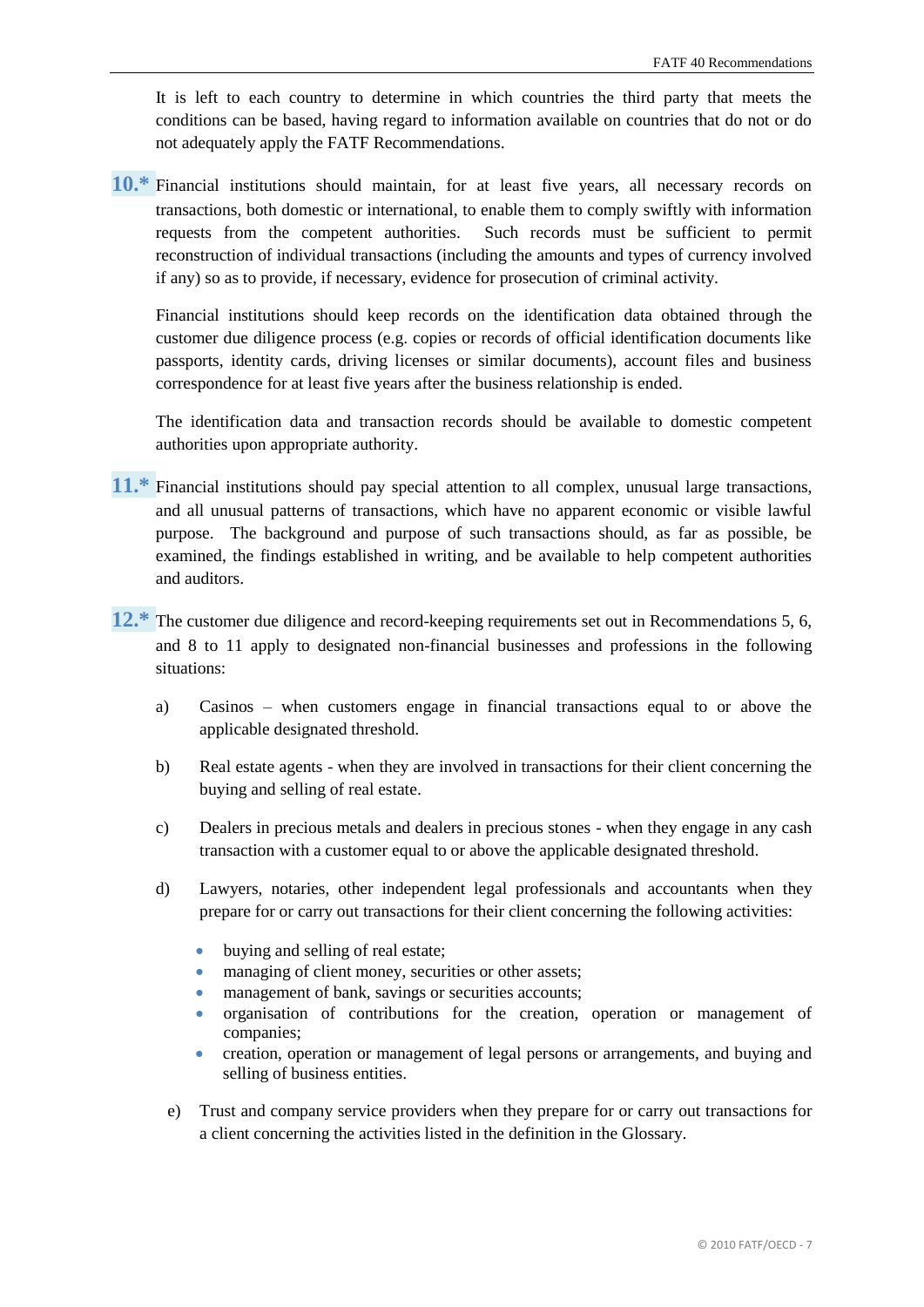It is left to each country to determine in which countries the third party that meets the conditions can be based, having regard to information available on countries that do not or do not adequately apply the FATF Recommendations.

10.\* Financial institutions should maintain, for at least five years, all necessary records on transactions, both domestic or international, to enable them to comply swiftly with information requests from the competent authorities. Such records must be sufficient to permit reconstruction of individual transactions (including the amounts and types of currency involved if any) so as to provide, if necessary, evidence for prosecution of criminal activity.

Financial institutions should keep records on the identification data obtained through the customer due diligence process (e.g. copies or records of official identification documents like passports, identity cards, driving licenses or similar documents), account files and business correspondence for at least five years after the business relationship is ended.

The identification data and transaction records should be available to domestic competent authorities upon appropriate authority.

- **11.\*** Financial institutions should pay special attention to all complex, unusual large transactions, and all unusual patterns of transactions, which have no apparent economic or visible lawful purpose. The background and purpose of such transactions should, as far as possible, be examined, the findings established in writing, and be available to help competent authorities and auditors.
- 12<sup>\*</sup> The customer due diligence and record-keeping requirements set out in Recommendations 5, 6, and 8 to 11 apply to designated non-financial businesses and professions in the following situations:
	- a) Casinos when customers engage in financial transactions equal to or above the applicable designated threshold.
	- b) Real estate agents when they are involved in transactions for their client concerning the buying and selling of real estate.
	- c) Dealers in precious metals and dealers in precious stones when they engage in any cash transaction with a customer equal to or above the applicable designated threshold.
	- d) Lawyers, notaries, other independent legal professionals and accountants when they prepare for or carry out transactions for their client concerning the following activities:
		- buying and selling of real estate;
		- managing of client money, securities or other assets;
		- management of bank, savings or securities accounts;
		- organisation of contributions for the creation, operation or management of companies;
		- creation, operation or management of legal persons or arrangements, and buying and selling of business entities.
		- e) Trust and company service providers when they prepare for or carry out transactions for a client concerning the activities listed in the definition in the Glossary.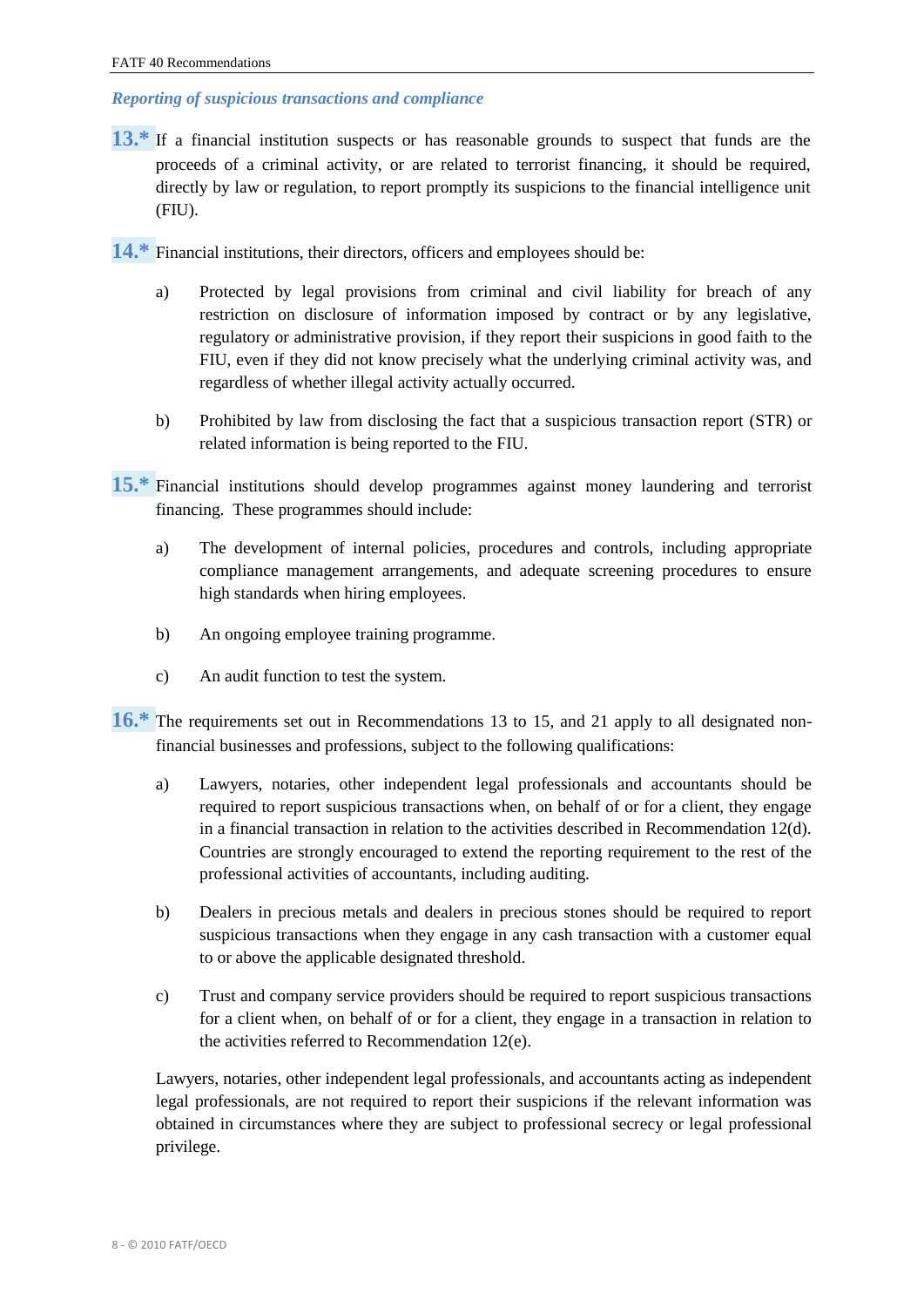# *Reporting of suspicious transactions and compliance*

**13.\*** If a financial institution suspects or has reasonable grounds to suspect that funds are the proceeds of a criminal activity, or are related to terrorist financing, it should be required, directly by law or regulation, to report promptly its suspicions to the financial intelligence unit (FIU).

**14.\*** Financial institutions, their directors, officers and employees should be:

- a) Protected by legal provisions from criminal and civil liability for breach of any restriction on disclosure of information imposed by contract or by any legislative, regulatory or administrative provision, if they report their suspicions in good faith to the FIU, even if they did not know precisely what the underlying criminal activity was, and regardless of whether illegal activity actually occurred.
- b) Prohibited by law from disclosing the fact that a suspicious transaction report (STR) or related information is being reported to the FIU.
- **15.\*** Financial institutions should develop programmes against money laundering and terrorist financing. These programmes should include:
	- a) The development of internal policies, procedures and controls, including appropriate compliance management arrangements, and adequate screening procedures to ensure high standards when hiring employees.
	- b) An ongoing employee training programme.
	- c) An audit function to test the system.
- 16.\* The requirements set out in Recommendations 13 to 15, and 21 apply to all designated nonfinancial businesses and professions, subject to the following qualifications:
	- a) Lawyers, notaries, other independent legal professionals and accountants should be required to report suspicious transactions when, on behalf of or for a client, they engage in a financial transaction in relation to the activities described in Recommendation 12(d). Countries are strongly encouraged to extend the reporting requirement to the rest of the professional activities of accountants, including auditing.
	- b) Dealers in precious metals and dealers in precious stones should be required to report suspicious transactions when they engage in any cash transaction with a customer equal to or above the applicable designated threshold.
	- c) Trust and company service providers should be required to report suspicious transactions for a client when, on behalf of or for a client, they engage in a transaction in relation to the activities referred to Recommendation 12(e).

Lawyers, notaries, other independent legal professionals, and accountants acting as independent legal professionals, are not required to report their suspicions if the relevant information was obtained in circumstances where they are subject to professional secrecy or legal professional privilege.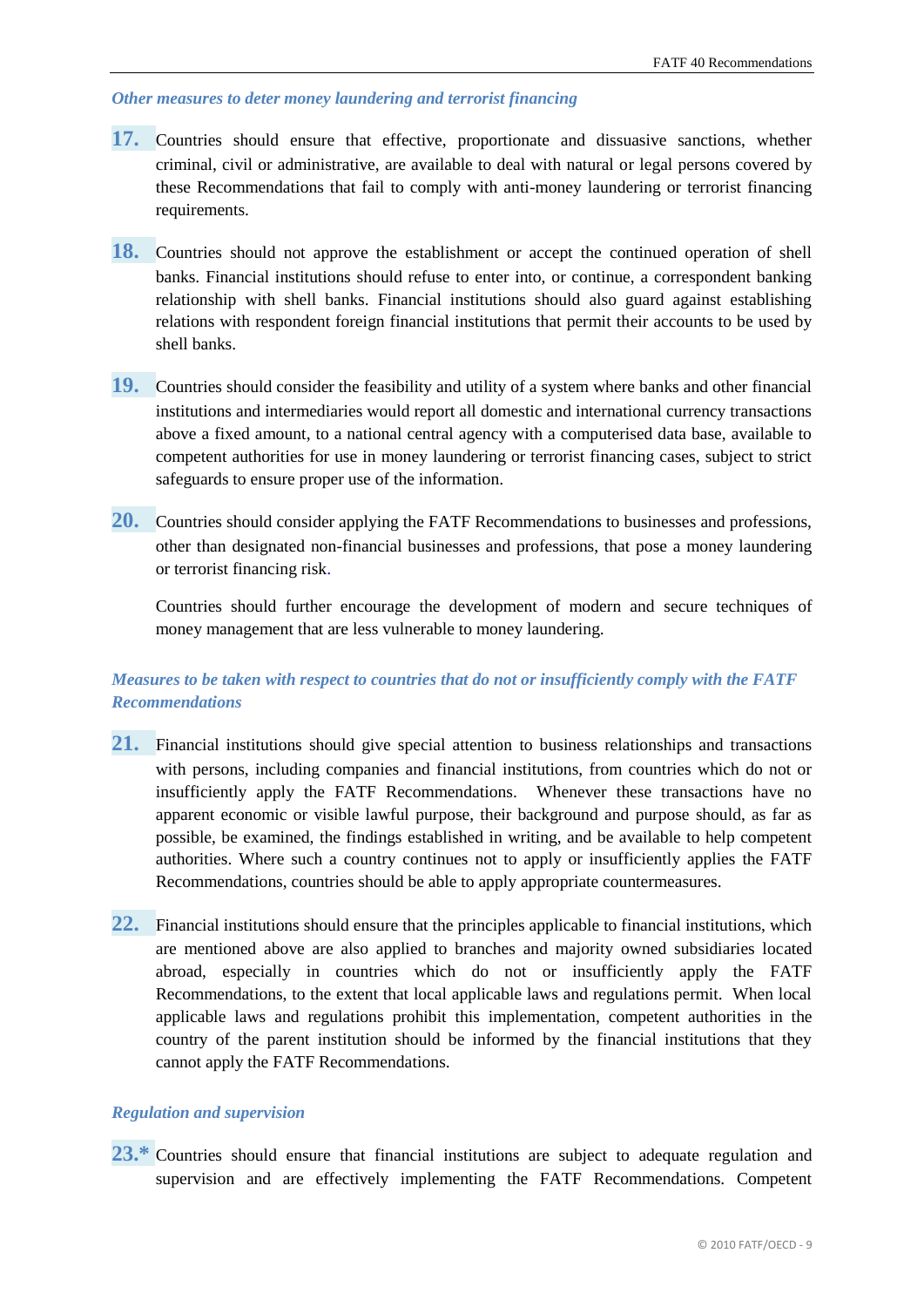# *Other measures to deter money laundering and terrorist financing*

- **17.** Countries should ensure that effective, proportionate and dissuasive sanctions, whether criminal, civil or administrative, are available to deal with natural or legal persons covered by these Recommendations that fail to comply with anti-money laundering or terrorist financing requirements.
- **18.** Countries should not approve the establishment or accept the continued operation of shell banks. Financial institutions should refuse to enter into, or continue, a correspondent banking relationship with shell banks. Financial institutions should also guard against establishing relations with respondent foreign financial institutions that permit their accounts to be used by shell banks.
- **19.** Countries should consider the feasibility and utility of a system where banks and other financial institutions and intermediaries would report all domestic and international currency transactions above a fixed amount, to a national central agency with a computerised data base, available to competent authorities for use in money laundering or terrorist financing cases, subject to strict safeguards to ensure proper use of the information.
- **20.** Countries should consider applying the FATF Recommendations to businesses and professions, other than designated non-financial businesses and professions, that pose a money laundering or terrorist financing risk.

Countries should further encourage the development of modern and secure techniques of money management that are less vulnerable to money laundering.

# *Measures to be taken with respect to countries that do not or insufficiently comply with the FATF Recommendations*

- **21.** Financial institutions should give special attention to business relationships and transactions with persons, including companies and financial institutions, from countries which do not or insufficiently apply the FATF Recommendations. Whenever these transactions have no apparent economic or visible lawful purpose, their background and purpose should, as far as possible, be examined, the findings established in writing, and be available to help competent authorities. Where such a country continues not to apply or insufficiently applies the FATF Recommendations, countries should be able to apply appropriate countermeasures.
- **22.** Financial institutions should ensure that the principles applicable to financial institutions, which are mentioned above are also applied to branches and majority owned subsidiaries located abroad, especially in countries which do not or insufficiently apply the FATF Recommendations, to the extent that local applicable laws and regulations permit. When local applicable laws and regulations prohibit this implementation, competent authorities in the country of the parent institution should be informed by the financial institutions that they cannot apply the FATF Recommendations.

# *Regulation and supervision*

23<sup>.\*</sup> Countries should ensure that financial institutions are subject to adequate regulation and supervision and are effectively implementing the FATF Recommendations. Competent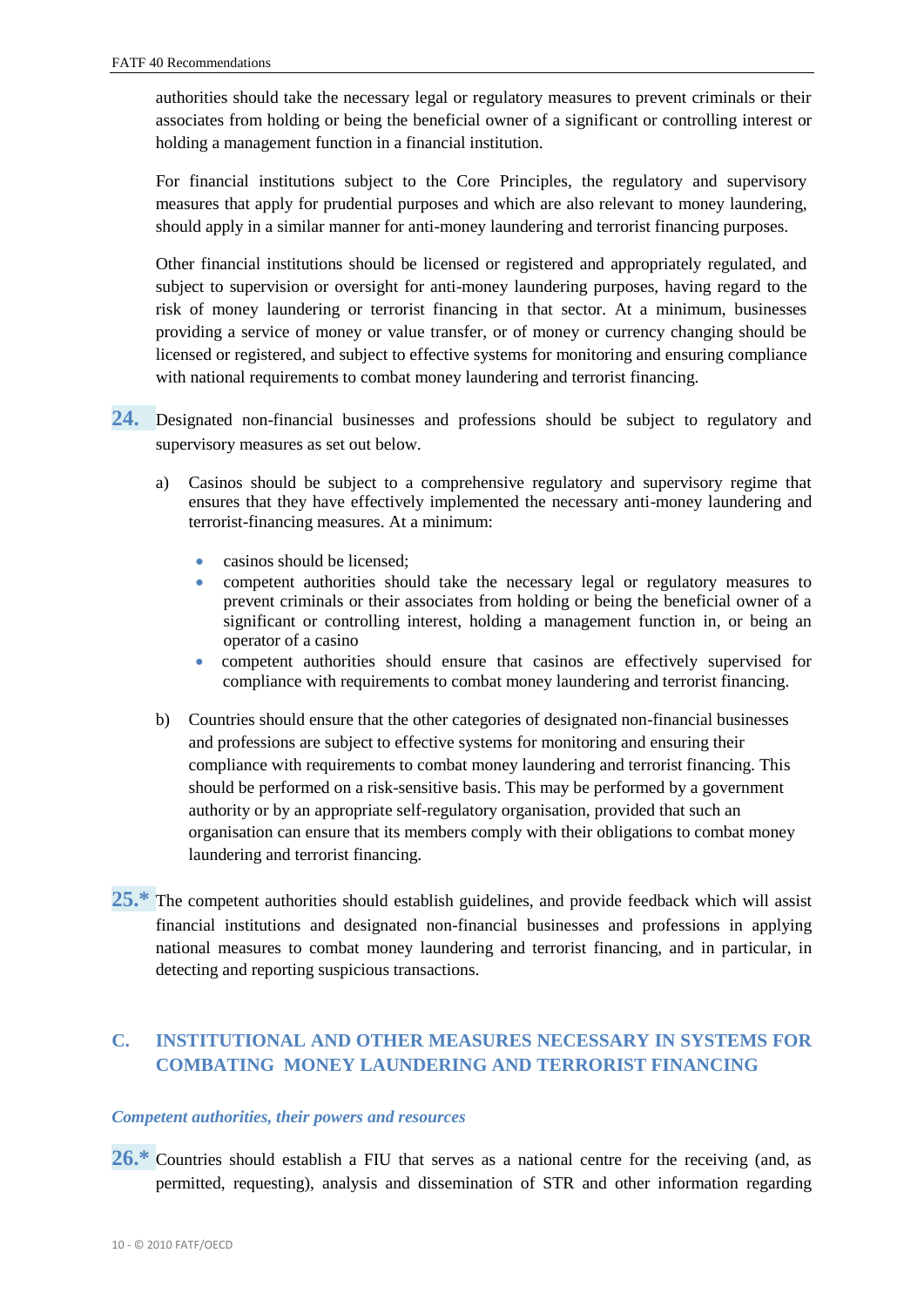authorities should take the necessary legal or regulatory measures to prevent criminals or their associates from holding or being the beneficial owner of a significant or controlling interest or holding a management function in a financial institution.

For financial institutions subject to the Core Principles, the regulatory and supervisory measures that apply for prudential purposes and which are also relevant to money laundering, should apply in a similar manner for anti-money laundering and terrorist financing purposes*.*

Other financial institutions should be licensed or registered and appropriately regulated, and subject to supervision or oversight for anti-money laundering purposes, having regard to the risk of money laundering or terrorist financing in that sector. At a minimum, businesses providing a service of money or value transfer, or of money or currency changing should be licensed or registered, and subject to effective systems for monitoring and ensuring compliance with national requirements to combat money laundering and terrorist financing.

- **24.** Designated non-financial businesses and professions should be subject to regulatory and supervisory measures as set out below.
	- a) Casinos should be subject to a comprehensive regulatory and supervisory regime that ensures that they have effectively implemented the necessary anti-money laundering and terrorist-financing measures. At a minimum:
		- casinos should be licensed;
		- competent authorities should take the necessary legal or regulatory measures to prevent criminals or their associates from holding or being the beneficial owner of a significant or controlling interest, holding a management function in, or being an operator of a casino
		- competent authorities should ensure that casinos are effectively supervised for compliance with requirements to combat money laundering and terrorist financing.
	- b) Countries should ensure that the other categories of designated non-financial businesses and professions are subject to effective systems for monitoring and ensuring their compliance with requirements to combat money laundering and terrorist financing. This should be performed on a risk-sensitive basis. This may be performed by a government authority or by an appropriate self-regulatory organisation, provided that such an organisation can ensure that its members comply with their obligations to combat money laundering and terrorist financing.
- 25<sup>\*</sup> The competent authorities should establish guidelines, and provide feedback which will assist financial institutions and designated non-financial businesses and professions in applying national measures to combat money laundering and terrorist financing, and in particular, in detecting and reporting suspicious transactions.

# **C. INSTITUTIONAL AND OTHER MEASURES NECESSARY IN SYSTEMS FOR COMBATING MONEY LAUNDERING AND TERRORIST FINANCING**

## *Competent authorities, their powers and resources*

26<sup>.\*</sup> Countries should establish a FIU that serves as a national centre for the receiving (and, as permitted, requesting), analysis and dissemination of STR and other information regarding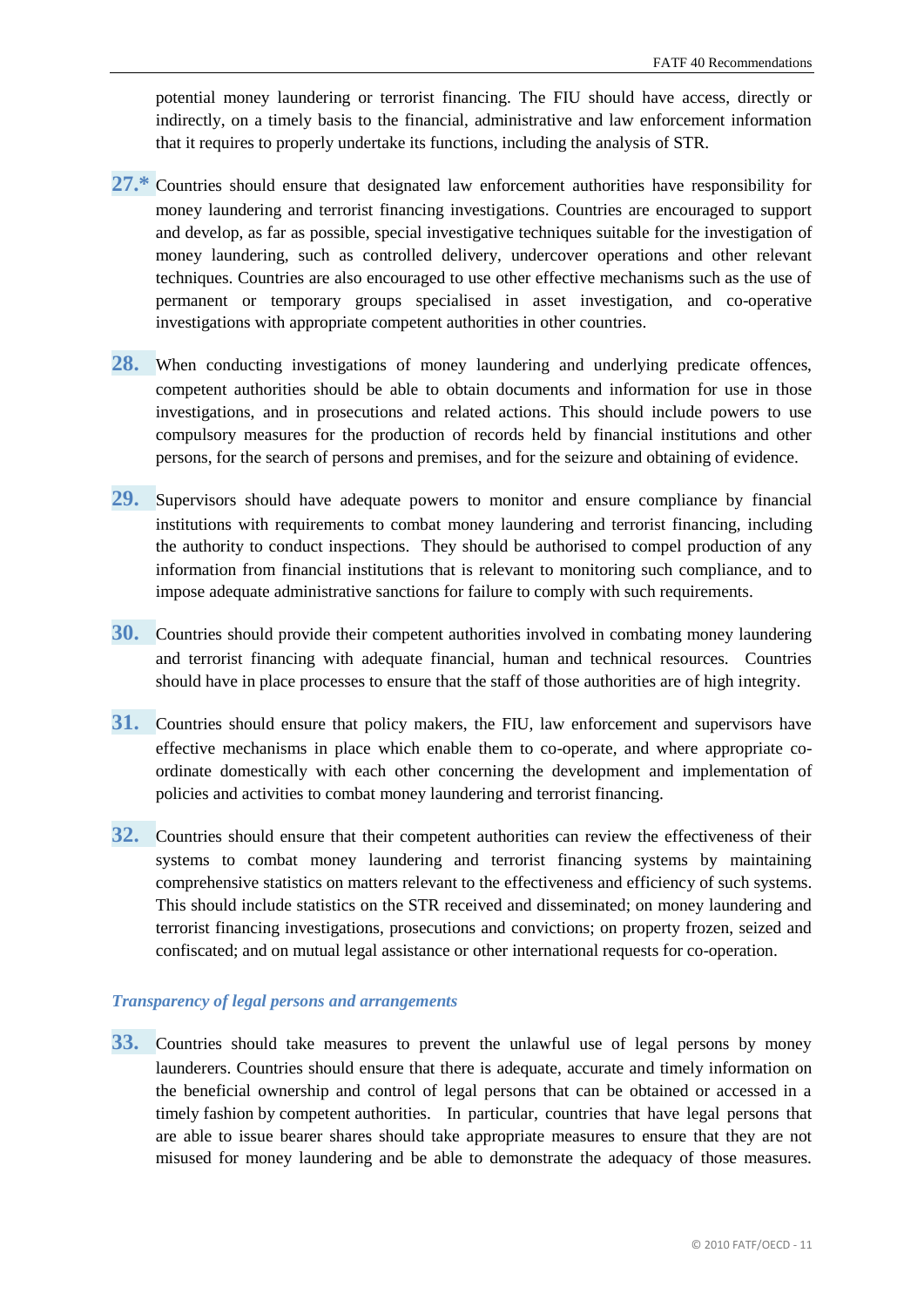potential money laundering or terrorist financing. The FIU should have access, directly or indirectly, on a timely basis to the financial, administrative and law enforcement information that it requires to properly undertake its functions, including the analysis of STR.

- **27.\*** Countries should ensure that designated law enforcement authorities have responsibility for money laundering and terrorist financing investigations. Countries are encouraged to support and develop, as far as possible, special investigative techniques suitable for the investigation of money laundering, such as controlled delivery, undercover operations and other relevant techniques. Countries are also encouraged to use other effective mechanisms such as the use of permanent or temporary groups specialised in asset investigation, and co-operative investigations with appropriate competent authorities in other countries.
- **28.** When conducting investigations of money laundering and underlying predicate offences, competent authorities should be able to obtain documents and information for use in those investigations, and in prosecutions and related actions. This should include powers to use compulsory measures for the production of records held by financial institutions and other persons, for the search of persons and premises, and for the seizure and obtaining of evidence.
- **29.** Supervisors should have adequate powers to monitor and ensure compliance by financial institutions with requirements to combat money laundering and terrorist financing, including the authority to conduct inspections. They should be authorised to compel production of any information from financial institutions that is relevant to monitoring such compliance, and to impose adequate administrative sanctions for failure to comply with such requirements.
- **30.** Countries should provide their competent authorities involved in combating money laundering and terrorist financing with adequate financial, human and technical resources. Countries should have in place processes to ensure that the staff of those authorities are of high integrity.
- **31.** Countries should ensure that policy makers, the FIU, law enforcement and supervisors have effective mechanisms in place which enable them to co-operate, and where appropriate coordinate domestically with each other concerning the development and implementation of policies and activities to combat money laundering and terrorist financing.
- **32.** Countries should ensure that their competent authorities can review the effectiveness of their systems to combat money laundering and terrorist financing systems by maintaining comprehensive statistics on matters relevant to the effectiveness and efficiency of such systems. This should include statistics on the STR received and disseminated; on money laundering and terrorist financing investigations, prosecutions and convictions; on property frozen, seized and confiscated; and on mutual legal assistance or other international requests for co-operation.

# *Transparency of legal persons and arrangements*

**33.** Countries should take measures to prevent the unlawful use of legal persons by money launderers. Countries should ensure that there is adequate, accurate and timely information on the beneficial ownership and control of legal persons that can be obtained or accessed in a timely fashion by competent authorities. In particular, countries that have legal persons that are able to issue bearer shares should take appropriate measures to ensure that they are not misused for money laundering and be able to demonstrate the adequacy of those measures.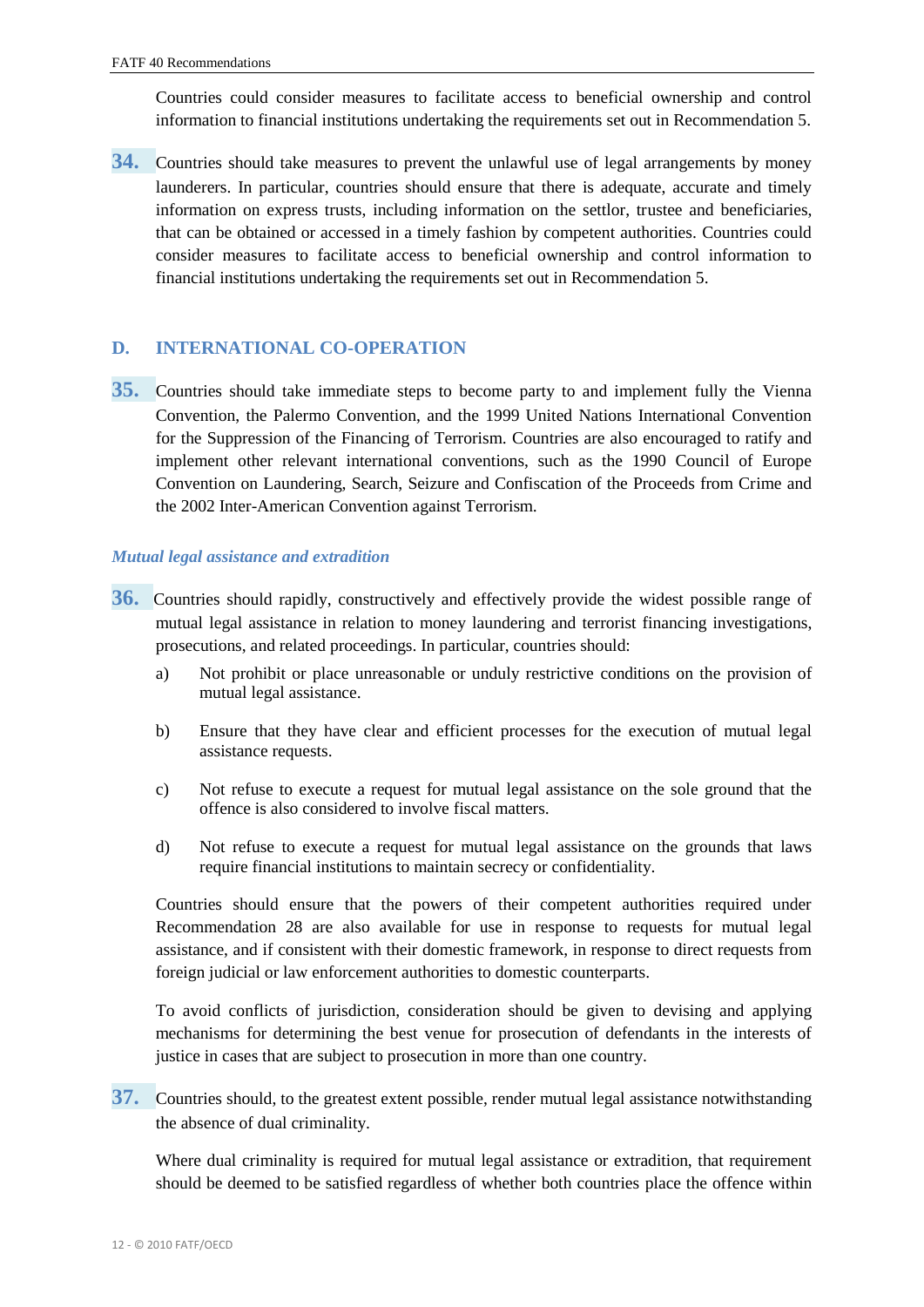Countries could consider measures to facilitate access to beneficial ownership and control information to financial institutions undertaking the requirements set out in Recommendation 5.

**34.** Countries should take measures to prevent the unlawful use of legal arrangements by money launderers. In particular, countries should ensure that there is adequate, accurate and timely information on express trusts, including information on the settlor, trustee and beneficiaries, that can be obtained or accessed in a timely fashion by competent authorities. Countries could consider measures to facilitate access to beneficial ownership and control information to financial institutions undertaking the requirements set out in Recommendation 5.

# **D. INTERNATIONAL CO-OPERATION**

**35.** Countries should take immediate steps to become party to and implement fully the Vienna Convention, the Palermo Convention, and the 1999 United Nations International Convention for the Suppression of the Financing of Terrorism. Countries are also encouraged to ratify and implement other relevant international conventions, such as the 1990 Council of Europe Convention on Laundering, Search, Seizure and Confiscation of the Proceeds from Crime and the 2002 Inter-American Convention against Terrorism.

# *Mutual legal assistance and extradition*

- **36.** Countries should rapidly, constructively and effectively provide the widest possible range of mutual legal assistance in relation to money laundering and terrorist financing investigations, prosecutions, and related proceedings. In particular, countries should:
	- a) Not prohibit or place unreasonable or unduly restrictive conditions on the provision of mutual legal assistance.
	- b) Ensure that they have clear and efficient processes for the execution of mutual legal assistance requests.
	- c) Not refuse to execute a request for mutual legal assistance on the sole ground that the offence is also considered to involve fiscal matters.
	- d) Not refuse to execute a request for mutual legal assistance on the grounds that laws require financial institutions to maintain secrecy or confidentiality.

Countries should ensure that the powers of their competent authorities required under Recommendation 28 are also available for use in response to requests for mutual legal assistance, and if consistent with their domestic framework, in response to direct requests from foreign judicial or law enforcement authorities to domestic counterparts.

To avoid conflicts of jurisdiction, consideration should be given to devising and applying mechanisms for determining the best venue for prosecution of defendants in the interests of justice in cases that are subject to prosecution in more than one country.

**37.** Countries should, to the greatest extent possible, render mutual legal assistance notwithstanding the absence of dual criminality.

Where dual criminality is required for mutual legal assistance or extradition, that requirement should be deemed to be satisfied regardless of whether both countries place the offence within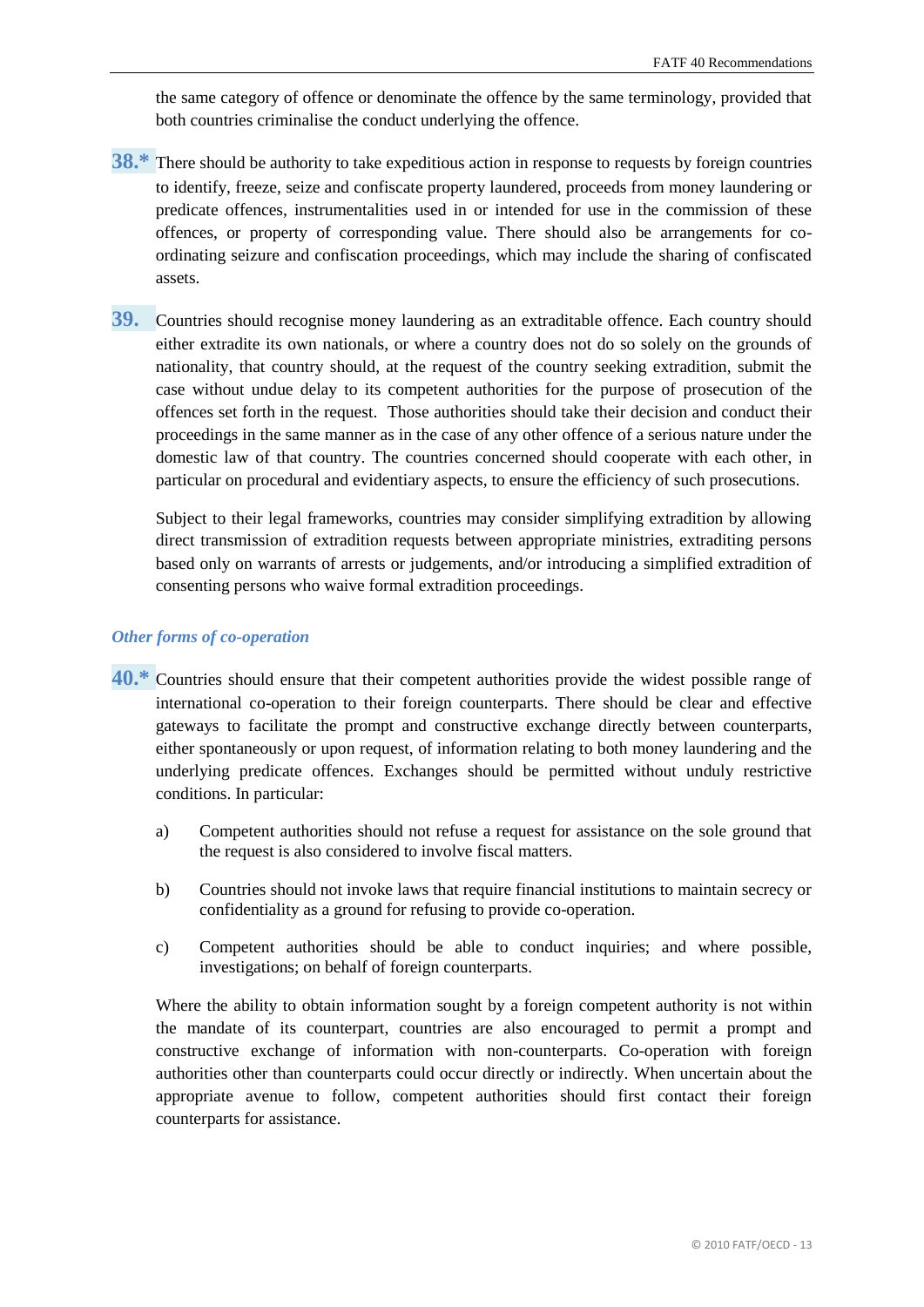the same category of offence or denominate the offence by the same terminology, provided that both countries criminalise the conduct underlying the offence.

- **38.\*** There should be authority to take expeditious action in response to requests by foreign countries to identify, freeze, seize and confiscate property laundered, proceeds from money laundering or predicate offences, instrumentalities used in or intended for use in the commission of these offences, or property of corresponding value. There should also be arrangements for coordinating seizure and confiscation proceedings, which may include the sharing of confiscated assets.
- **39.** Countries should recognise money laundering as an extraditable offence. Each country should either extradite its own nationals, or where a country does not do so solely on the grounds of nationality, that country should, at the request of the country seeking extradition, submit the case without undue delay to its competent authorities for the purpose of prosecution of the offences set forth in the request. Those authorities should take their decision and conduct their proceedings in the same manner as in the case of any other offence of a serious nature under the domestic law of that country. The countries concerned should cooperate with each other, in particular on procedural and evidentiary aspects, to ensure the efficiency of such prosecutions.

Subject to their legal frameworks, countries may consider simplifying extradition by allowing direct transmission of extradition requests between appropriate ministries, extraditing persons based only on warrants of arrests or judgements, and/or introducing a simplified extradition of consenting persons who waive formal extradition proceedings.

# *Other forms of co-operation*

- **40.\*** Countries should ensure that their competent authorities provide the widest possible range of international co-operation to their foreign counterparts. There should be clear and effective gateways to facilitate the prompt and constructive exchange directly between counterparts, either spontaneously or upon request, of information relating to both money laundering and the underlying predicate offences. Exchanges should be permitted without unduly restrictive conditions. In particular:
	- a) Competent authorities should not refuse a request for assistance on the sole ground that the request is also considered to involve fiscal matters.
	- b) Countries should not invoke laws that require financial institutions to maintain secrecy or confidentiality as a ground for refusing to provide co-operation.
	- c) Competent authorities should be able to conduct inquiries; and where possible, investigations; on behalf of foreign counterparts.

Where the ability to obtain information sought by a foreign competent authority is not within the mandate of its counterpart, countries are also encouraged to permit a prompt and constructive exchange of information with non-counterparts. Co-operation with foreign authorities other than counterparts could occur directly or indirectly. When uncertain about the appropriate avenue to follow, competent authorities should first contact their foreign counterparts for assistance.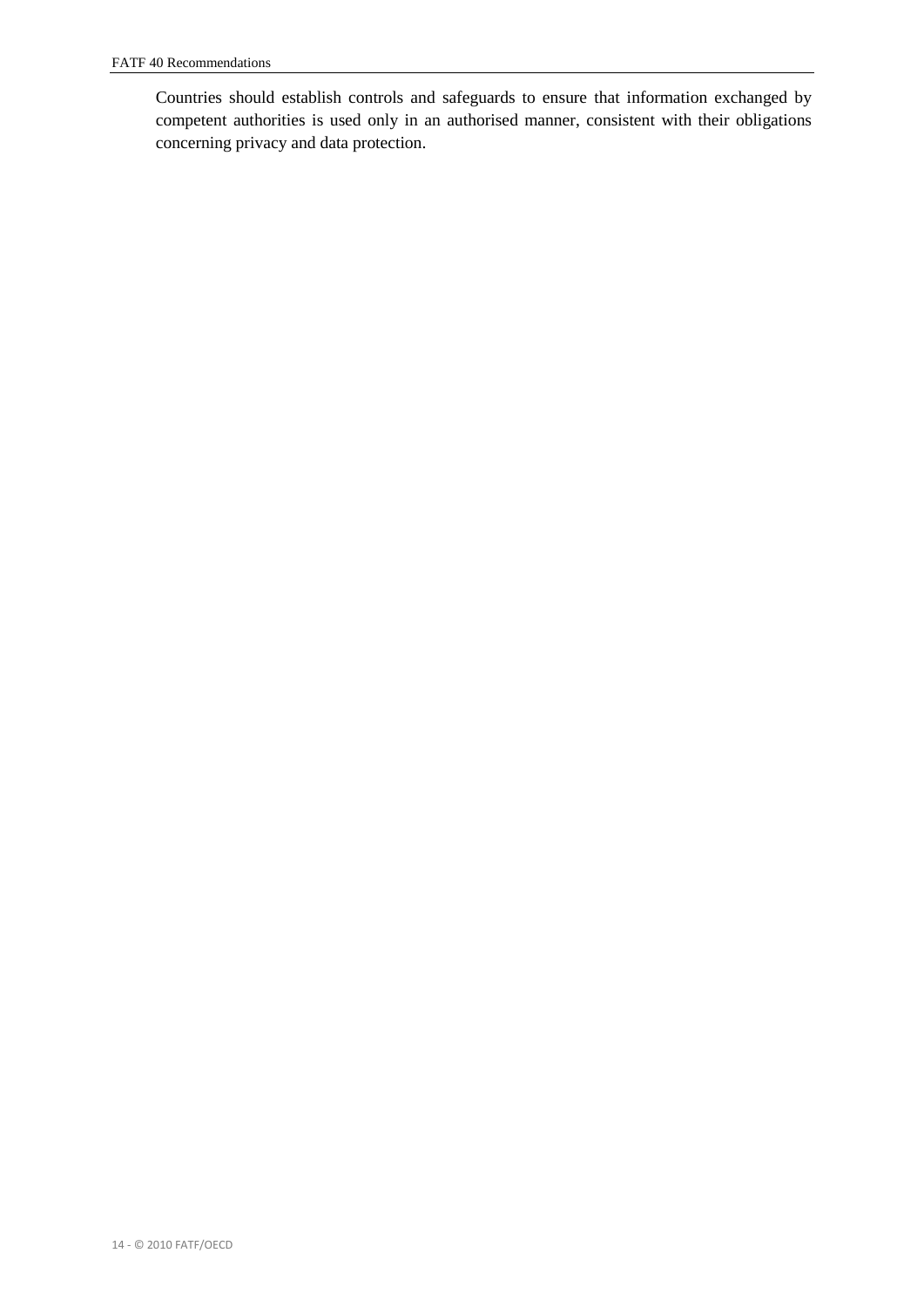Countries should establish controls and safeguards to ensure that information exchanged by competent authorities is used only in an authorised manner, consistent with their obligations concerning privacy and data protection.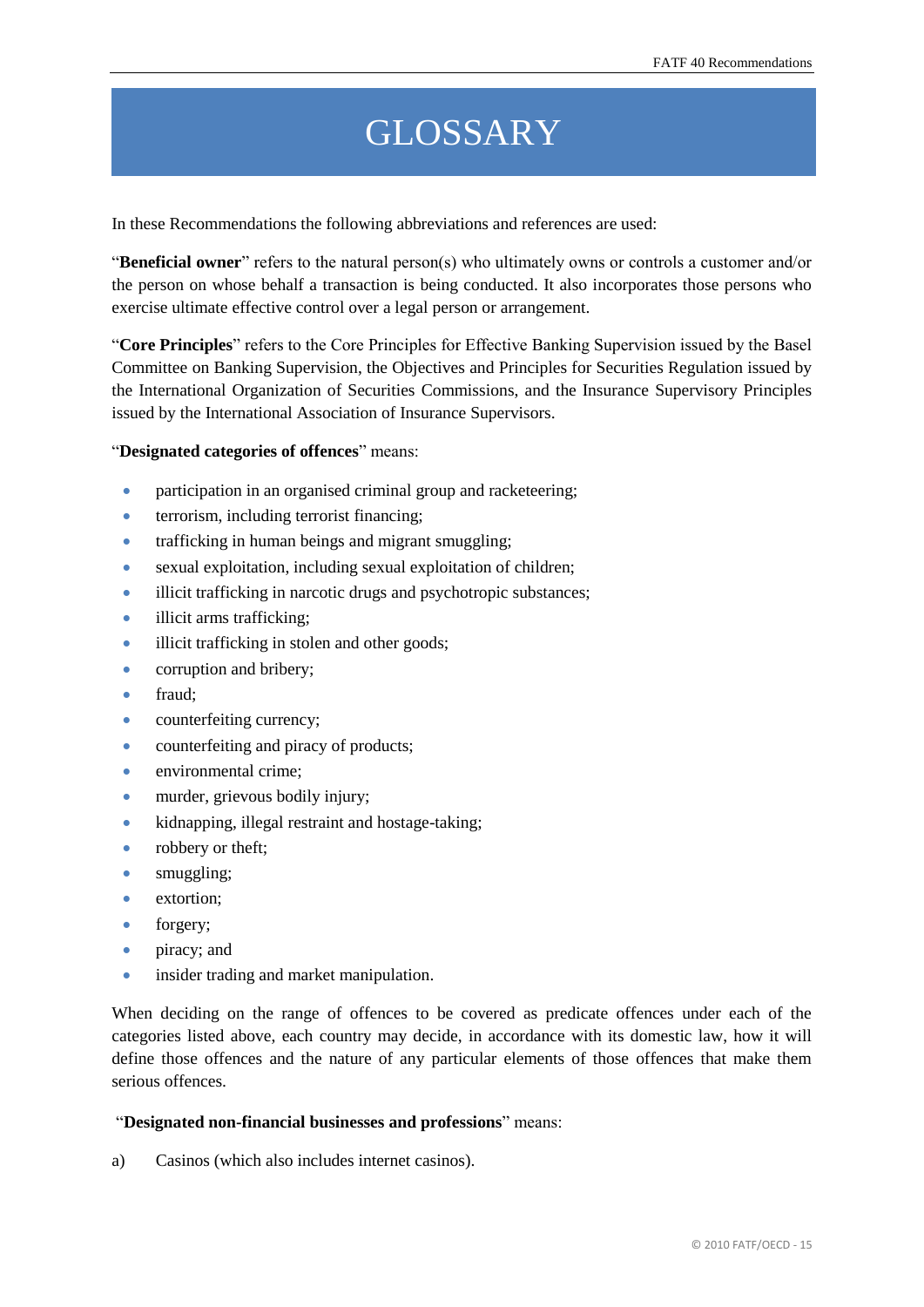# GLOSSARY

In these Recommendations the following abbreviations and references are used:

"**Beneficial owner**" refers to the natural person(s) who ultimately owns or controls a customer and/or the person on whose behalf a transaction is being conducted. It also incorporates those persons who exercise ultimate effective control over a legal person or arrangement.

"**Core Principles**" refers to the Core Principles for Effective Banking Supervision issued by the Basel Committee on Banking Supervision, the Objectives and Principles for Securities Regulation issued by the International Organization of Securities Commissions, and the Insurance Supervisory Principles issued by the International Association of Insurance Supervisors.

## "**Designated categories of offences**" means:

- participation in an organised criminal group and racketeering;
- terrorism, including terrorist financing;
- trafficking in human beings and migrant smuggling;
- sexual exploitation, including sexual exploitation of children;
- illicit trafficking in narcotic drugs and psychotropic substances;
- illicit arms trafficking;
- illicit trafficking in stolen and other goods;
- corruption and bribery;
- fraud;
- counterfeiting currency;
- counterfeiting and piracy of products;
- environmental crime;
- murder, grievous bodily injury;
- kidnapping, illegal restraint and hostage-taking;
- robbery or theft;
- smuggling;
- extortion;
- forgery;
- piracy; and
- insider trading and market manipulation.

When deciding on the range of offences to be covered as predicate offences under each of the categories listed above, each country may decide, in accordance with its domestic law, how it will define those offences and the nature of any particular elements of those offences that make them serious offences.

#### "**Designated non-financial businesses and professions**" means:

a) Casinos (which also includes internet casinos).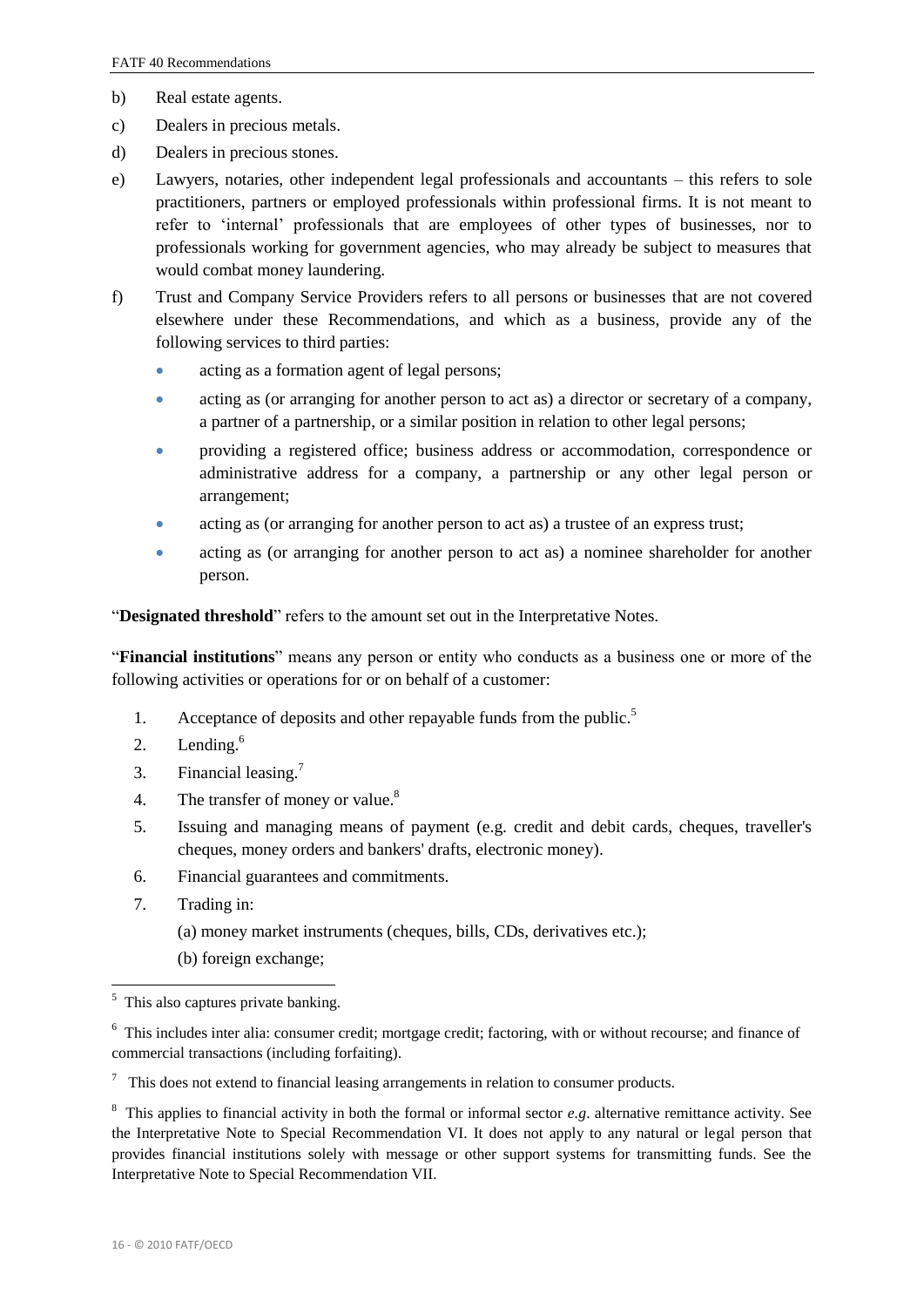- b) Real estate agents.
- c) Dealers in precious metals.
- d) Dealers in precious stones.
- e) Lawyers, notaries, other independent legal professionals and accountants this refers to sole practitioners, partners or employed professionals within professional firms. It is not meant to refer to 'internal' professionals that are employees of other types of businesses, nor to professionals working for government agencies, who may already be subject to measures that would combat money laundering.
- f) Trust and Company Service Providers refers to all persons or businesses that are not covered elsewhere under these Recommendations, and which as a business, provide any of the following services to third parties:
	- acting as a formation agent of legal persons;
	- acting as (or arranging for another person to act as) a director or secretary of a company, a partner of a partnership, or a similar position in relation to other legal persons;
	- providing a registered office; business address or accommodation, correspondence or administrative address for a company, a partnership or any other legal person or arrangement;
	- acting as (or arranging for another person to act as) a trustee of an express trust;
	- acting as (or arranging for another person to act as) a nominee shareholder for another person.

"**Designated threshold**" refers to the amount set out in the Interpretative Notes.

"**Financial institutions**" means any person or entity who conducts as a business one or more of the following activities or operations for or on behalf of a customer:

- 1. Acceptance of deposits and other repayable funds from the public.<sup>5</sup>
- 2. Lending. $6$
- 3. Financial leasing.<sup>7</sup>
- 4. The transfer of money or value.<sup>8</sup>
- 5. Issuing and managing means of payment (e.g. credit and debit cards, cheques, traveller's cheques, money orders and bankers' drafts, electronic money).
- 6. Financial guarantees and commitments.
- 7. Trading in:
	- (a) money market instruments (cheques, bills, CDs, derivatives etc.);
	- (b) foreign exchange;

<sup>&</sup>lt;sup>5</sup> This also captures private banking.

<sup>&</sup>lt;sup>6</sup> This includes inter alia: consumer credit; mortgage credit; factoring, with or without recourse; and finance of commercial transactions (including forfaiting).

 $\frac{7}{1}$  This does not extend to financial leasing arrangements in relation to consumer products.

<sup>8</sup> This applies to financial activity in both the formal or informal sector *e.g*. alternative remittance activity. See the Interpretative Note to Special Recommendation VI. It does not apply to any natural or legal person that provides financial institutions solely with message or other support systems for transmitting funds. See the Interpretative Note to Special Recommendation VII.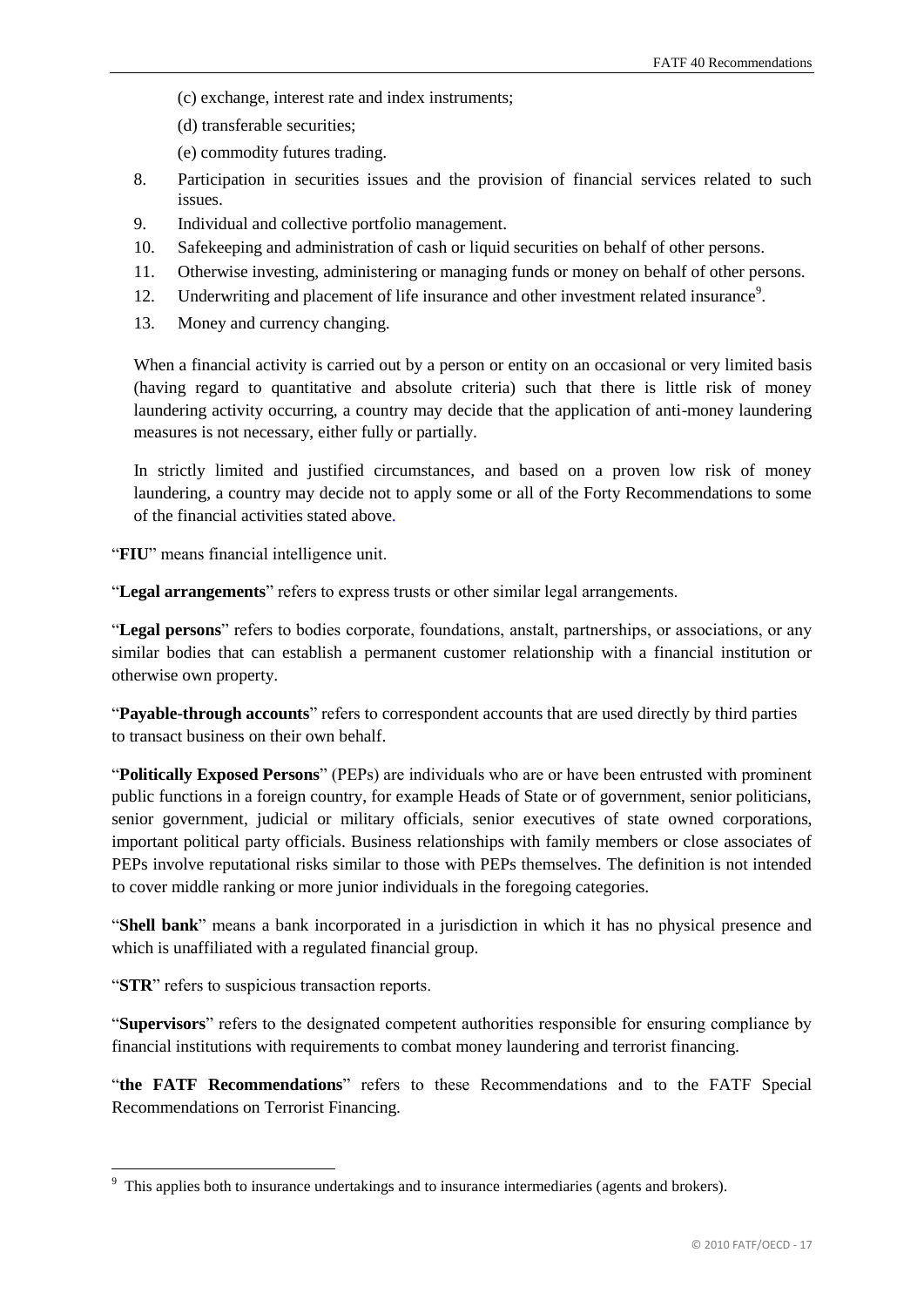- (c) exchange, interest rate and index instruments;
- (d) transferable securities;
- (e) commodity futures trading.
- 8. Participation in securities issues and the provision of financial services related to such issues.
- 9. Individual and collective portfolio management.
- 10. Safekeeping and administration of cash or liquid securities on behalf of other persons.
- 11. Otherwise investing, administering or managing funds or money on behalf of other persons.
- 12. Underwriting and placement of life insurance and other investment related insurance<sup>9</sup>.
- 13. Money and currency changing.

When a financial activity is carried out by a person or entity on an occasional or very limited basis (having regard to quantitative and absolute criteria) such that there is little risk of money laundering activity occurring, a country may decide that the application of anti-money laundering measures is not necessary, either fully or partially.

In strictly limited and justified circumstances, and based on a proven low risk of money laundering, a country may decide not to apply some or all of the Forty Recommendations to some of the financial activities stated above*.*

"**FIU**" means financial intelligence unit.

"**Legal arrangements**" refers to express trusts or other similar legal arrangements.

"**Legal persons**" refers to bodies corporate, foundations, anstalt, partnerships, or associations, or any similar bodies that can establish a permanent customer relationship with a financial institution or otherwise own property.

"**Payable-through accounts**" refers to correspondent accounts that are used directly by third parties to transact business on their own behalf.

"**Politically Exposed Persons**" (PEPs) are individuals who are or have been entrusted with prominent public functions in a foreign country, for example Heads of State or of government, senior politicians, senior government, judicial or military officials, senior executives of state owned corporations, important political party officials. Business relationships with family members or close associates of PEPs involve reputational risks similar to those with PEPs themselves. The definition is not intended to cover middle ranking or more junior individuals in the foregoing categories.

"**Shell bank**" means a bank incorporated in a jurisdiction in which it has no physical presence and which is unaffiliated with a regulated financial group.

"**STR**" refers to suspicious transaction reports.

"**Supervisors**" refers to the designated competent authorities responsible for ensuring compliance by financial institutions with requirements to combat money laundering and terrorist financing.

"**the FATF Recommendations**" refers to these Recommendations and to the FATF Special Recommendations on Terrorist Financing.

This applies both to insurance undertakings and to insurance intermediaries (agents and brokers).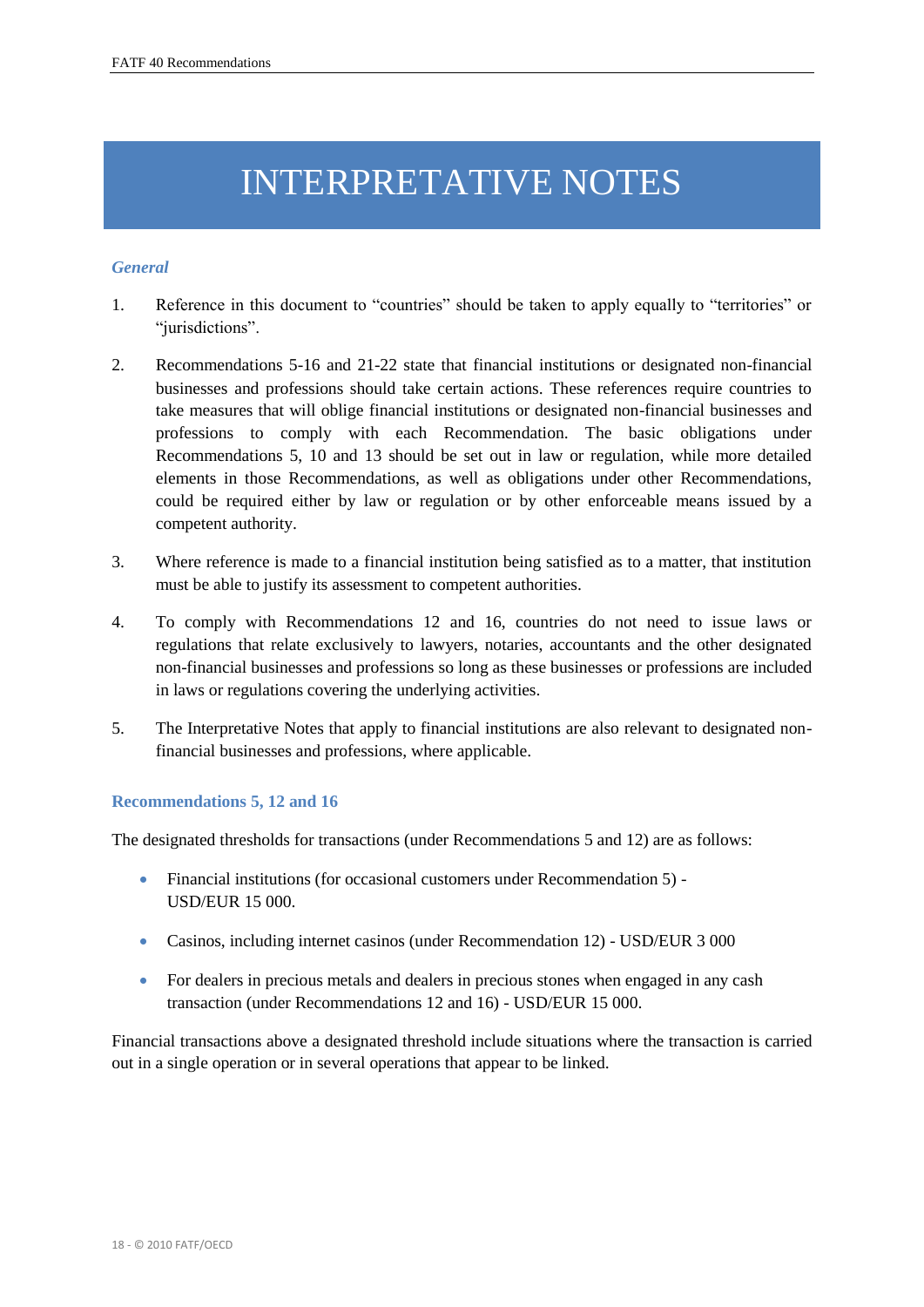# INTERPRETATIVE NOTES

# *General*

- 1. Reference in this document to "countries" should be taken to apply equally to "territories" or "jurisdictions".
- 2. Recommendations 5-16 and 21-22 state that financial institutions or designated non-financial businesses and professions should take certain actions. These references require countries to take measures that will oblige financial institutions or designated non-financial businesses and professions to comply with each Recommendation. The basic obligations under Recommendations 5, 10 and 13 should be set out in law or regulation, while more detailed elements in those Recommendations, as well as obligations under other Recommendations, could be required either by law or regulation or by other enforceable means issued by a competent authority.
- 3. Where reference is made to a financial institution being satisfied as to a matter, that institution must be able to justify its assessment to competent authorities.
- 4. To comply with Recommendations 12 and 16, countries do not need to issue laws or regulations that relate exclusively to lawyers, notaries, accountants and the other designated non-financial businesses and professions so long as these businesses or professions are included in laws or regulations covering the underlying activities.
- 5. The Interpretative Notes that apply to financial institutions are also relevant to designated nonfinancial businesses and professions, where applicable.

# **Recommendations 5, 12 and 16**

The designated thresholds for transactions (under Recommendations 5 and 12) are as follows:

- Financial institutions (for occasional customers under Recommendation 5) USD/EUR 15 000.
- Casinos, including internet casinos (under Recommendation 12) USD/EUR 3 000
- For dealers in precious metals and dealers in precious stones when engaged in any cash transaction (under Recommendations 12 and 16) - USD/EUR 15 000.

Financial transactions above a designated threshold include situations where the transaction is carried out in a single operation or in several operations that appear to be linked.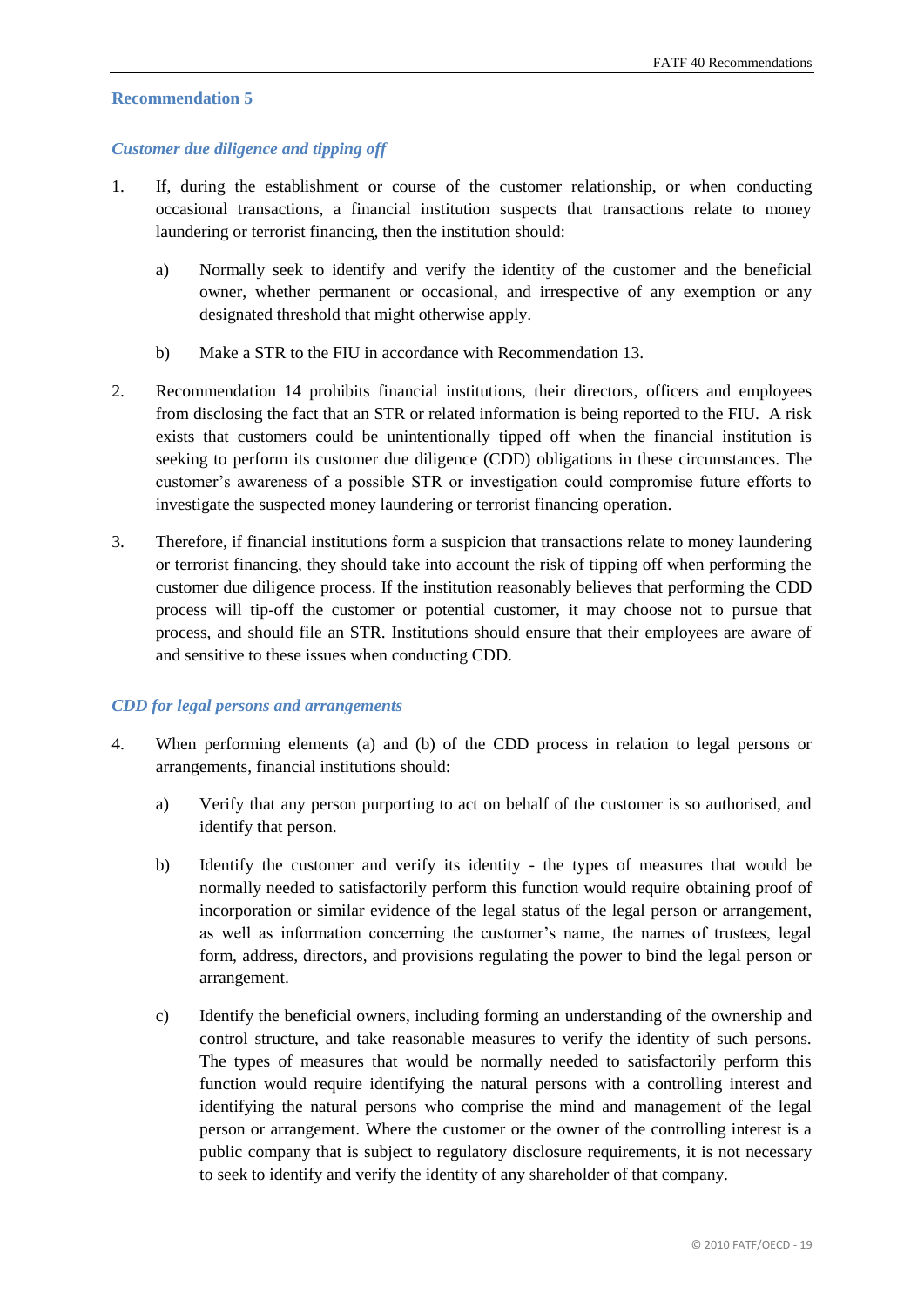# *Customer due diligence and tipping off*

- 1. If, during the establishment or course of the customer relationship, or when conducting occasional transactions, a financial institution suspects that transactions relate to money laundering or terrorist financing, then the institution should:
	- a) Normally seek to identify and verify the identity of the customer and the beneficial owner, whether permanent or occasional, and irrespective of any exemption or any designated threshold that might otherwise apply.
	- b) Make a STR to the FIU in accordance with Recommendation 13.
- 2. Recommendation 14 prohibits financial institutions, their directors, officers and employees from disclosing the fact that an STR or related information is being reported to the FIU. A risk exists that customers could be unintentionally tipped off when the financial institution is seeking to perform its customer due diligence (CDD) obligations in these circumstances. The customer's awareness of a possible STR or investigation could compromise future efforts to investigate the suspected money laundering or terrorist financing operation.
- 3. Therefore, if financial institutions form a suspicion that transactions relate to money laundering or terrorist financing, they should take into account the risk of tipping off when performing the customer due diligence process. If the institution reasonably believes that performing the CDD process will tip-off the customer or potential customer, it may choose not to pursue that process, and should file an STR. Institutions should ensure that their employees are aware of and sensitive to these issues when conducting CDD.

# *CDD for legal persons and arrangements*

- 4. When performing elements (a) and (b) of the CDD process in relation to legal persons or arrangements, financial institutions should:
	- a) Verify that any person purporting to act on behalf of the customer is so authorised, and identify that person.
	- b) Identify the customer and verify its identity the types of measures that would be normally needed to satisfactorily perform this function would require obtaining proof of incorporation or similar evidence of the legal status of the legal person or arrangement, as well as information concerning the customer's name, the names of trustees, legal form, address, directors, and provisions regulating the power to bind the legal person or arrangement.
	- c) Identify the beneficial owners, including forming an understanding of the ownership and control structure, and take reasonable measures to verify the identity of such persons. The types of measures that would be normally needed to satisfactorily perform this function would require identifying the natural persons with a controlling interest and identifying the natural persons who comprise the mind and management of the legal person or arrangement. Where the customer or the owner of the controlling interest is a public company that is subject to regulatory disclosure requirements, it is not necessary to seek to identify and verify the identity of any shareholder of that company.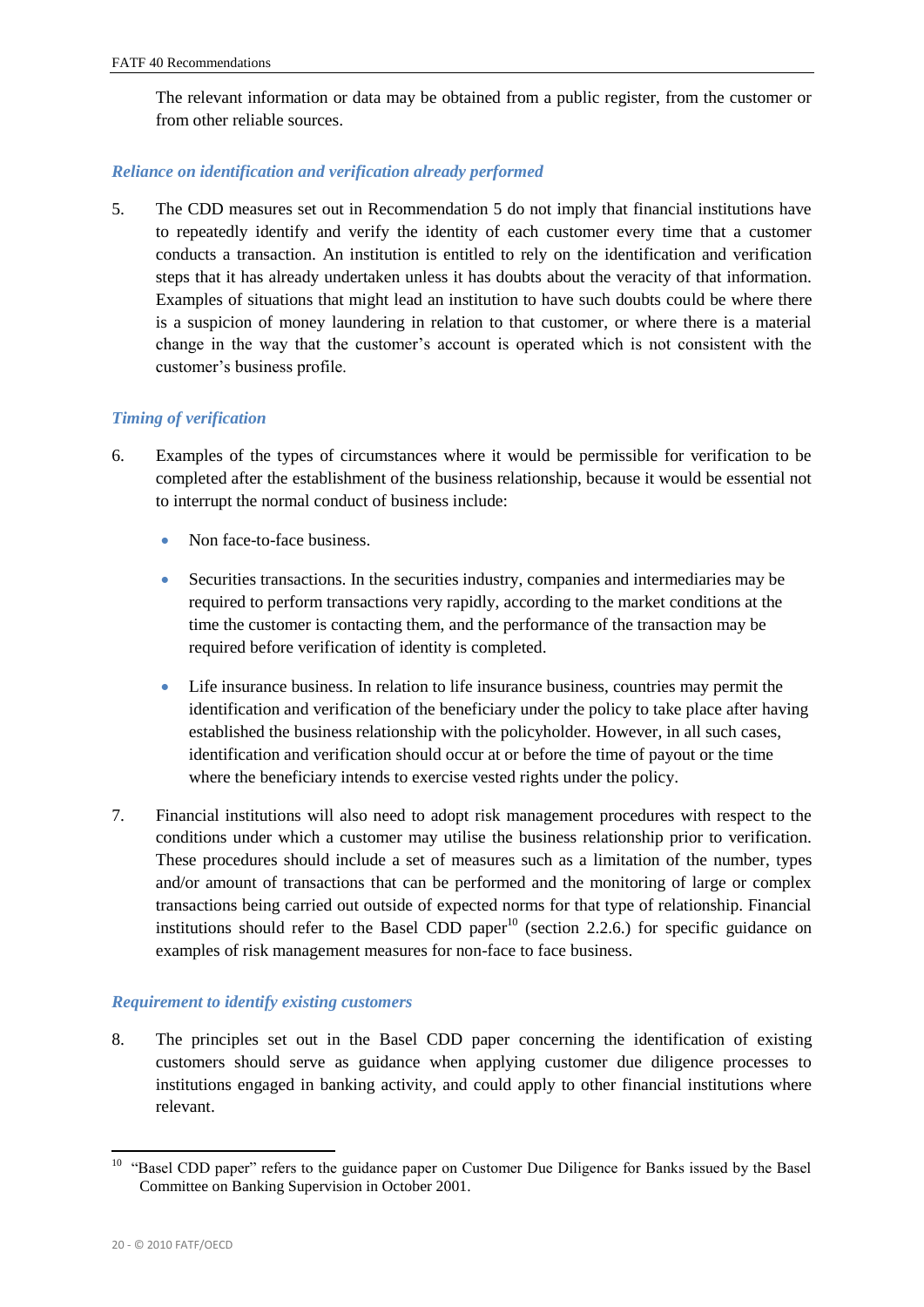The relevant information or data may be obtained from a public register, from the customer or from other reliable sources.

# *Reliance on identification and verification already performed*

5. The CDD measures set out in Recommendation 5 do not imply that financial institutions have to repeatedly identify and verify the identity of each customer every time that a customer conducts a transaction. An institution is entitled to rely on the identification and verification steps that it has already undertaken unless it has doubts about the veracity of that information. Examples of situations that might lead an institution to have such doubts could be where there is a suspicion of money laundering in relation to that customer, or where there is a material change in the way that the customer's account is operated which is not consistent with the customer's business profile.

# *Timing of verification*

- 6. Examples of the types of circumstances where it would be permissible for verification to be completed after the establishment of the business relationship, because it would be essential not to interrupt the normal conduct of business include:
	- Non face-to-face business.
	- Securities transactions. In the securities industry, companies and intermediaries may be required to perform transactions very rapidly, according to the market conditions at the time the customer is contacting them, and the performance of the transaction may be required before verification of identity is completed.
	- Life insurance business. In relation to life insurance business, countries may permit the identification and verification of the beneficiary under the policy to take place after having established the business relationship with the policyholder. However, in all such cases, identification and verification should occur at or before the time of payout or the time where the beneficiary intends to exercise vested rights under the policy.
- 7. Financial institutions will also need to adopt risk management procedures with respect to the conditions under which a customer may utilise the business relationship prior to verification. These procedures should include a set of measures such as a limitation of the number, types and/or amount of transactions that can be performed and the monitoring of large or complex transactions being carried out outside of expected norms for that type of relationship. Financial institutions should refer to the Basel CDD paper<sup>10</sup> (section 2.2.6.) for specific guidance on examples of risk management measures for non-face to face business.

# *Requirement to identify existing customers*

8. The principles set out in the Basel CDD paper concerning the identification of existing customers should serve as guidance when applying customer due diligence processes to institutions engaged in banking activity, and could apply to other financial institutions where relevant.

**<sup>.</sup>** <sup>10</sup> "Basel CDD paper" refers to the guidance paper on Customer Due Diligence for Banks issued by the Basel Committee on Banking Supervision in October 2001.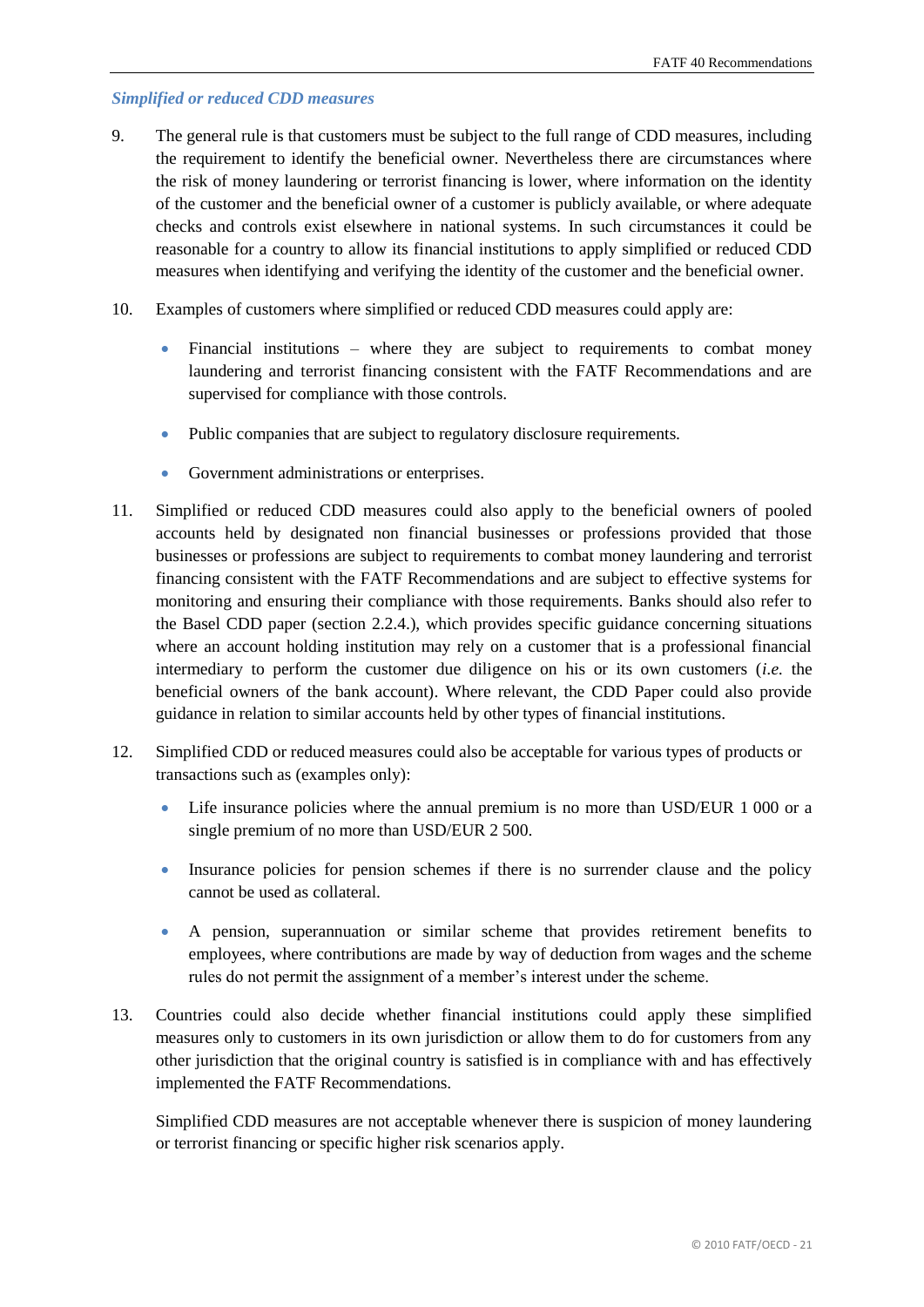# *Simplified or reduced CDD measures*

- 9. The general rule is that customers must be subject to the full range of CDD measures, including the requirement to identify the beneficial owner. Nevertheless there are circumstances where the risk of money laundering or terrorist financing is lower, where information on the identity of the customer and the beneficial owner of a customer is publicly available, or where adequate checks and controls exist elsewhere in national systems. In such circumstances it could be reasonable for a country to allow its financial institutions to apply simplified or reduced CDD measures when identifying and verifying the identity of the customer and the beneficial owner.
- 10. Examples of customers where simplified or reduced CDD measures could apply are:
	- Financial institutions where they are subject to requirements to combat money laundering and terrorist financing consistent with the FATF Recommendations and are supervised for compliance with those controls.
	- Public companies that are subject to regulatory disclosure requirements.
	- Government administrations or enterprises.
- 11. Simplified or reduced CDD measures could also apply to the beneficial owners of pooled accounts held by designated non financial businesses or professions provided that those businesses or professions are subject to requirements to combat money laundering and terrorist financing consistent with the FATF Recommendations and are subject to effective systems for monitoring and ensuring their compliance with those requirements. Banks should also refer to the Basel CDD paper (section 2.2.4.), which provides specific guidance concerning situations where an account holding institution may rely on a customer that is a professional financial intermediary to perform the customer due diligence on his or its own customers (*i.e.* the beneficial owners of the bank account). Where relevant, the CDD Paper could also provide guidance in relation to similar accounts held by other types of financial institutions.
- 12. Simplified CDD or reduced measures could also be acceptable for various types of products or transactions such as (examples only):
	- Life insurance policies where the annual premium is no more than USD/EUR 1 000 or a single premium of no more than USD/EUR 2 500.
	- Insurance policies for pension schemes if there is no surrender clause and the policy cannot be used as collateral.
	- A pension, superannuation or similar scheme that provides retirement benefits to employees, where contributions are made by way of deduction from wages and the scheme rules do not permit the assignment of a member's interest under the scheme.
- 13. Countries could also decide whether financial institutions could apply these simplified measures only to customers in its own jurisdiction or allow them to do for customers from any other jurisdiction that the original country is satisfied is in compliance with and has effectively implemented the FATF Recommendations.

Simplified CDD measures are not acceptable whenever there is suspicion of money laundering or terrorist financing or specific higher risk scenarios apply.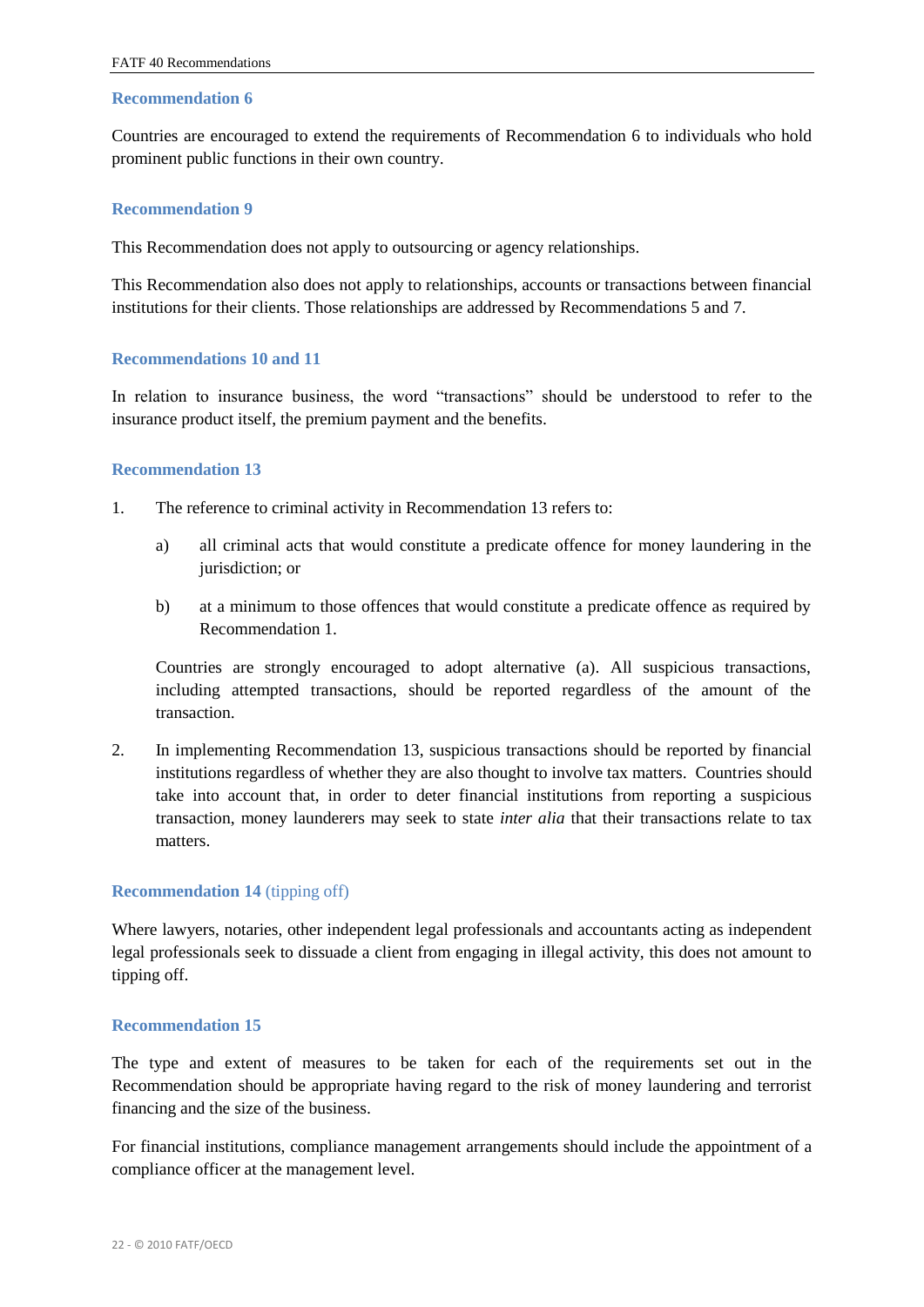Countries are encouraged to extend the requirements of Recommendation 6 to individuals who hold prominent public functions in their own country.

# **Recommendation 9**

This Recommendation does not apply to outsourcing or agency relationships.

This Recommendation also does not apply to relationships, accounts or transactions between financial institutions for their clients. Those relationships are addressed by Recommendations 5 and 7.

# **Recommendations 10 and 11**

In relation to insurance business, the word "transactions" should be understood to refer to the insurance product itself, the premium payment and the benefits.

# **Recommendation 13**

- 1. The reference to criminal activity in Recommendation 13 refers to:
	- a) all criminal acts that would constitute a predicate offence for money laundering in the jurisdiction; or
	- b) at a minimum to those offences that would constitute a predicate offence as required by Recommendation 1.

Countries are strongly encouraged to adopt alternative (a). All suspicious transactions, including attempted transactions, should be reported regardless of the amount of the transaction.

2. In implementing Recommendation 13, suspicious transactions should be reported by financial institutions regardless of whether they are also thought to involve tax matters. Countries should take into account that, in order to deter financial institutions from reporting a suspicious transaction, money launderers may seek to state *inter alia* that their transactions relate to tax matters.

# **Recommendation 14** (tipping off)

Where lawyers, notaries, other independent legal professionals and accountants acting as independent legal professionals seek to dissuade a client from engaging in illegal activity, this does not amount to tipping off.

# **Recommendation 15**

The type and extent of measures to be taken for each of the requirements set out in the Recommendation should be appropriate having regard to the risk of money laundering and terrorist financing and the size of the business.

For financial institutions, compliance management arrangements should include the appointment of a compliance officer at the management level.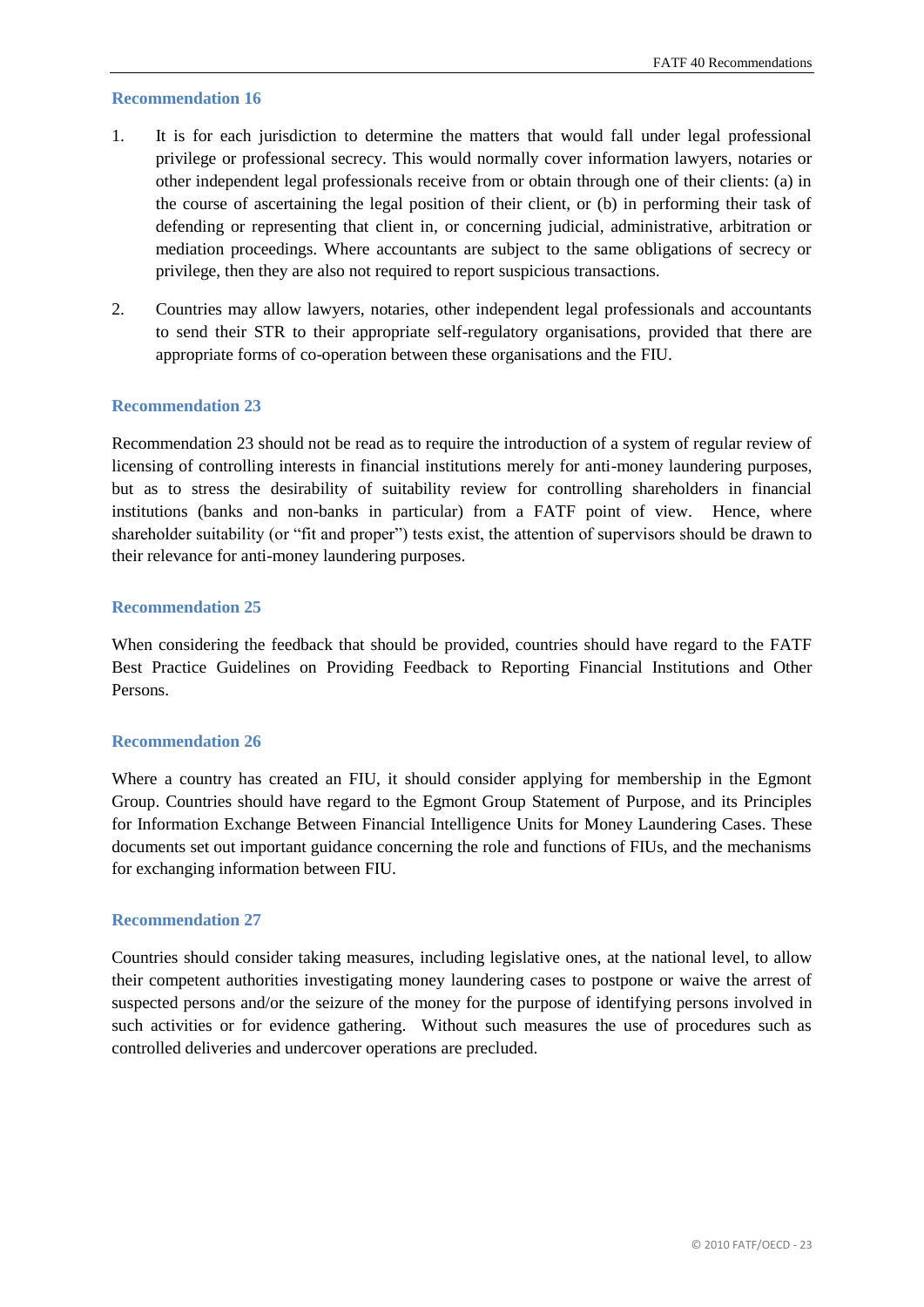- 1. It is for each jurisdiction to determine the matters that would fall under legal professional privilege or professional secrecy. This would normally cover information lawyers, notaries or other independent legal professionals receive from or obtain through one of their clients: (a) in the course of ascertaining the legal position of their client, or (b) in performing their task of defending or representing that client in, or concerning judicial, administrative, arbitration or mediation proceedings. Where accountants are subject to the same obligations of secrecy or privilege, then they are also not required to report suspicious transactions.
- 2. Countries may allow lawyers, notaries, other independent legal professionals and accountants to send their STR to their appropriate self-regulatory organisations, provided that there are appropriate forms of co-operation between these organisations and the FIU.

## **Recommendation 23**

Recommendation 23 should not be read as to require the introduction of a system of regular review of licensing of controlling interests in financial institutions merely for anti-money laundering purposes, but as to stress the desirability of suitability review for controlling shareholders in financial institutions (banks and non-banks in particular) from a FATF point of view. Hence, where shareholder suitability (or "fit and proper") tests exist, the attention of supervisors should be drawn to their relevance for anti-money laundering purposes.

## **Recommendation 25**

When considering the feedback that should be provided, countries should have regard to the FATF Best Practice Guidelines on Providing Feedback to Reporting Financial Institutions and Other Persons.

## **Recommendation 26**

Where a country has created an FIU, it should consider applying for membership in the Egmont Group. Countries should have regard to the Egmont Group Statement of Purpose, and its Principles for Information Exchange Between Financial Intelligence Units for Money Laundering Cases. These documents set out important guidance concerning the role and functions of FIUs, and the mechanisms for exchanging information between FIU.

# **Recommendation 27**

Countries should consider taking measures, including legislative ones, at the national level, to allow their competent authorities investigating money laundering cases to postpone or waive the arrest of suspected persons and/or the seizure of the money for the purpose of identifying persons involved in such activities or for evidence gathering. Without such measures the use of procedures such as controlled deliveries and undercover operations are precluded.